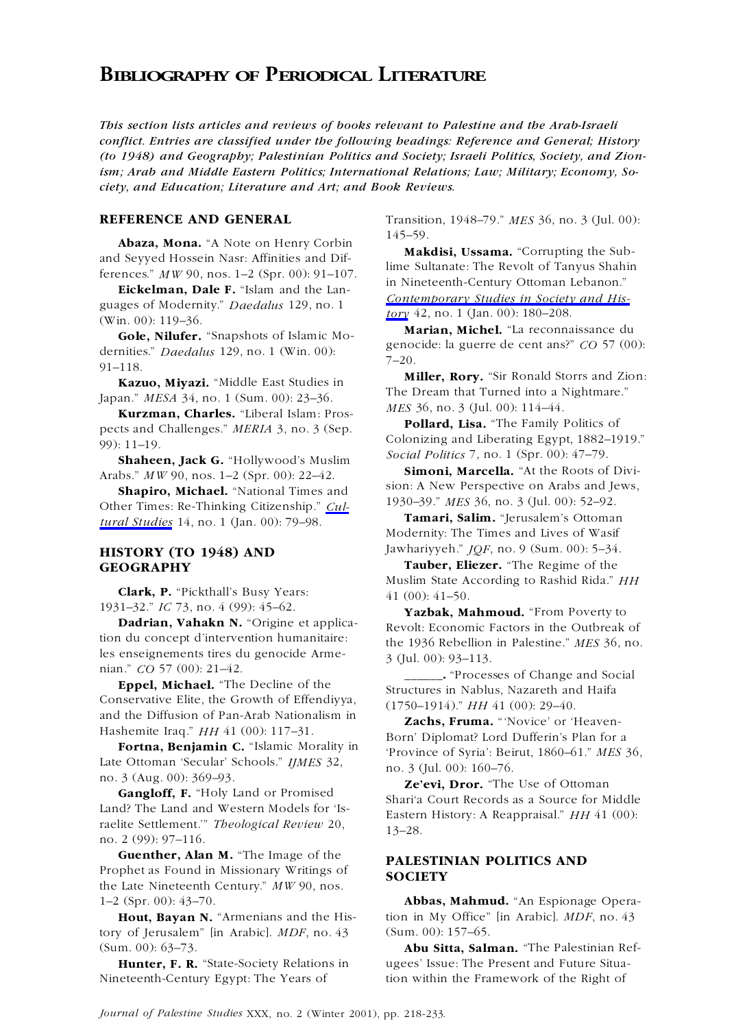## **BIBLIOGRAPHY OF PERIODICAL LITERATURE**

*This section lists articles and reviews of books relevant to Palestine and the Arab-Israeli conflict. Entries are classified under the following headings: Reference and General; History (to 1948) and Geography; Palestinian Politics and Society; Israeli Politics, Society, and Zionism; Arab and Middle Eastern Politics; International Relations; Law; Military; Economy, Society, and Education; Literature and Art; and Book Reviews.*

**Abaza, Mona.** "A Note on Henry Corbin  $\frac{145-59}{48}$ .<br>**Makdisi, Ussama.** "Corrupting the Sub-

Eickelman, Dale F. "Islam and the Languages of Modernity." *Daedalus* 129, no. 1 guages of Modernity. *Duentius* 129, no. 1<br>(Win. 00): 119–36. **Marian, Michel.** "La reconnaissance du

**Gole, Nilufer.** "Snapshots of Islamic Mo-<br>dernities." *Daedalus* 129, no. 1 (Win. 00): genocide: la guerre de cent ans?" *CO* 57 (00):<br>91–118. T–20.

**Kurzman, Charles.** "Liberal Islam: Pros-<br>**Rolland, Lisa.** "The Family Politics of

**Shaheen, Jack G.** "Hollywood's Muslim Social Politics 7, no. 1 (Spr. 00): 47–79.<br> **Simoni, Marcella.** "At the Roots of Divi-

**Shapiro, Michael.** "National Times and sign: A New Perspective on Arabs and Jones Times, Re Thinking Citizenship," Cull 1930–39." MES 36, no. 3 (Jul. 00): 52–92. Other Times: Re-Thinking Citizenship." *Cul-* 1930–39." *MES* 36, no. 3 (Jul. 00): 52–92.<br> **Tamari, Salim.** "Jerusalem's Ottoman *tural Studies* 14, no. 1 (Jan. 00): 79–98.

**Clark, P.** "Pickthall's Busy Years: 41 (00): 41–50.<br>1931–32." IC 73, no. 4 (99): 45–62. **Varbal:** M

les enseignements tires du genocide Arme-<br>  $\frac{3}{10}$  (Jul. 00): 93–113.<br>
"Proces"

Conservative Elite, the Growth of Effendiyya, (1750–1914)." *HH* 41 (00): 29–40.<br>and the Diffusion of Pan-Arab Nationalism in and the Diffusion of Pan-Arab Nationalism in **Zachs, Fruma.** "Novice' or 'Heaven-<br>Hashemite Iraq." *HH* 41 (00): 117–31.

**Canglott, F.** "Holy Land of Promised<br>
Land? The Land and Western Models for 'Is-<br>
raelite Settlement.'" *Theological Review* 20,<br>
no. 2 (99): 97–116.

**Guenther, Alan M.** "The Image of the<br>**PRALESTINIAN POLITICS AND**<br>**PROPERTY** Prophet as Found in Missionary Writings of **SOCIETY** the Late Nineteenth Century." *MW* 90, nos.

tory of Jerusalem" [in Arabic]. *MDF*, no. 43 (Sum. 00): 157-65. (Sum. 00): 63–73. **Abu Sitta, Salman.** "The Palestinian Ref-

Nineteenth-Century Egypt: The Years of tion within the Framework of the Right of

**REFERENCE AND GENERAL** Transition, 1948–79." *MES* 36, no. 3 (Jul. 00):

and Seyyed Hossein Nasr: Affinities and Dif-<br>ferences." *MW* 90, nos. 1–2 (Spr. 00): 91–107. lime Sultanate: The Revolt of Tanyus Shahin<br>in Nineteenth-Century Ottoman Lebanon." *Contemporary Studies in Society and His-*

**Miller, Rory.** "Sir Ronald Storrs and Zion:<br>**Kazuo, Miyazi.** "Middle East Studies in The Dream that Turned into a Nightmare." The Dream that Turned into a Nightmare." Japan." *MESA* 34, no. 1 (Sum. 00): 23–36.

**Pollard, Lisa.** The Family Politics of pects and Challenges." *MERIA* 3, no. 3 (Sep. Colonizing and Liberating Egypt, 1882–1919."<br> **Pollard, Lisa.** The Family Politics of the Family Politics of the Family Colonizing and L

**Simoni, Marcella.** "At the Roots of Divi-<br>**Sharing Michael** "National Times and sion: A New Perspective on Arabs and Jews.

Modernity: The Times and Lives of Wasif **HISTORY (TO 1948) AND** *Jawhariyyeh." JQF*, no. 9 (Sum. 00): 5-34.

**GEOGRAPHY Tauber, Eliezer.** "The Regime of the Muslim State According to Rashid Rida." *HH*

1931–32." *IC* 75, no. 4 (99): 45–62.<br> **Yazbak, Mahmoud.** "From Poverty to **Dadrian, Vahakn N.** "Origine et applica-<br>
Revolt: Economic Factors in the Outbreak of the 1036 Rebellion in Palertine," MES 36, no. the 1936 Rebellion in Palestine." *MES* 36, no.

n. CO 57 (00): 21–42.<br>**Eppel, Michael.** "The Decline of the **and Social** "Processes of Change and Social **Eppel, Michael.** "The Decline of the Structures in Nablus, Nazareth and Haifa

Hashemite Iraq." *HH* 41 (00): 117–31. Born' Diplomat? Lord Dufferin's Plan for a<br> **Fortna, Benjamin C.** "Islamic Morality in The Province of Syria': Beirut, 1860–61." *MES* 36,<br>
Late Ottoman 'Secular' Schools." *IJMES* 3

1–2 (Spr. 00): 43–70. **Abbas, Mahmud.** "An Espionage Opera-**Hout, Bayan N.** "Armenians and the His- tion in My Office" [in Arabic]. *MDF*, no. 43

**Hunter, F. R.** "State-Society Relations in ugees' Issue: The Present and Future Situa-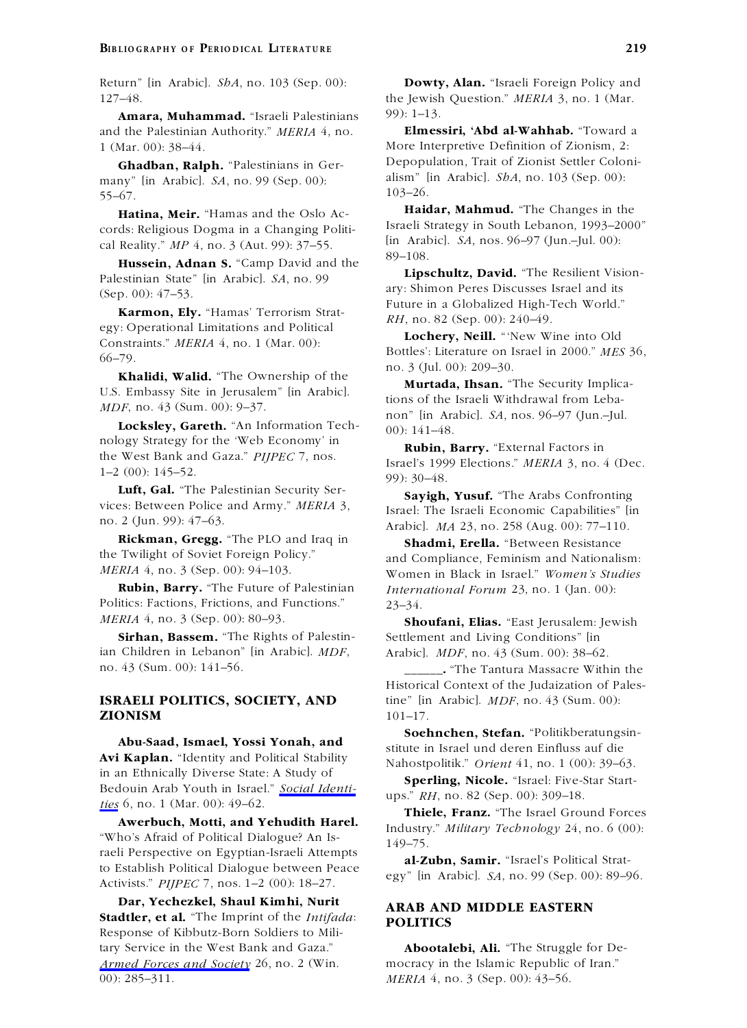**Amara, Muhammad.** "Israeli Palestinians 99): 1–13.<br>1 the Palestinian Authority." *MERIA* 4, no. **Elmessiri, 'Abd al-Wahhab.** "Toward a and the Palestinian Authority." *MERIA* 4, no. 1 (Mar. 00): 38–44. More Interpretive Definition of Zionism, 2:

many" [in Arabic]. *SA*, no. 99 (Sep. 00): alism" [in Arabic]. *SbA*, no. 103 (Sep. 00): <br>
55. 67 103–26. 55–67.

cords: Religious Dogma in a Changing Politi-<br>  $\begin{array}{ll}\n\text{I}\text{1} & \text{I}\text{2} & \text{I}\text{2} & \text{I}\text{3} & \text{I}\text{4} & \text{I}\text{4} & \text{I}\text{5} \\
\text{I}\text{2} & \text{I}\text{3} & \text{I}\text{4} & \text{I}\text{5} & \text{I}\text{6} & \text{I}\text{7} & \text{I}\text{8} \\
\text{II}\text{3} & \text{I}\text{4} & \text{I}\text$ [in Arabic]. *SA*, nos. 96–97 (Jun.–Jul. 00): cal Reality." *MP* 4, no. 3 (Aut. 99): 37–55.

**Hussein, Adnan S.** "Camp David and the <sup>89–108</sup>.<br> **Lipschultz, David.** "The Resilient Vision-Palestinian State" [in Arabic]. *SA*, no. 99 ary: Shimon Peres Discusses Israel and its (Sep. 00): 47–53.

**Karmon, Ely.** "Hamas' Terrorism Strat-<br>*RH*, no. 82 (Sep. 00): 240–49. egy: Operational Limitations and Political

U.S. Embassy Site in Jerusalem" [in Arabic].<br>
MDF, no. 43 (Sum. 00): 9–37. tions of the Israeli Withdrawal from Leba-

**Locksley, Gareth.** "An Information Tech-<br>non" [in Arabic]. *SA*, nos. 96–97 (Jun.-Jul.<br>nology Strategy for the 'Web Economy' in<br>the West Bank and Gaza." *PIJPEC* 7, nos.<br> $\frac{1}{2}$  and  $\frac{1}{2}$  and  $\frac{1}{2}$  and  $\frac{1}{2}$ 

**Luft, Gal.** "The Palestinian Security Ser-<br>vices: Between Police and Army." MERIA 3, Legal: The Issaeli Economic Conchilities" list

**Rickman, Gregg.** "The PLO and Iraq in **Shadmi, Erella.** "Between Resistance the Twilight of Soviet Foreign Policy." and Compliance Feminism and Nationali

Politics: Factions, Frictions, and Functions." 23–34. *MERIA* 4, no. 3 (Sep. 00): 80–93. **Shoufani, Elias.** "East Jerusalem: Jewish

ian Children in Lebanon" [in Arabic]. *MDF*, Arabic]. *MDF*, no. 43 (Sum. 00): 38–62.

# **ZIONISM** 101–17.

**Avi Kaplan.** The Integral Stability Nahostpolitik." *Orient* 41, no. 1 (00): 39–63.<br>
in an Ethnically Diverse State: A Study of **Consider Minimum Consideration** State State: in an Ethnically Diverse State: A Study of **Sperling, Nicole.** "Israel: Five-Star Start- Bedouin Arab Youth in Israel." *Social Identi-* ups." *RH*, no. 82 (Sep. 00): 309–18. *ties* 6, no. 1 (Mar. 00): 49–62.

**Awerbuch, Motti, and Yehudith Harel.**<br>
"Who's Afraid of Political Dialogue? An Is-<br>
raeli Perspective on Egyptian-Israeli Attempts<br>
to Establish Political Dialogue between Peace<br>
al-Zubn, Samir. "Israel's Political Stratto Establish Political Dialogue between Peace egy" [in Arabic]. *SA*, no. 99 (Sep. 00): 89–96. Activists." *PIJPEC* 7, nos. 1–2 (00): 18–27.

**Dar, Yechezkel, Shaul Kimhi, Nurit ARAB AND MIDDLE EASTERN Stadtler, et al.** "The Imprint of the *Intifada*: **POLITICS** Response of Kibbutz-Born Soldiers to Military Service in the West Bank and Gaza." **Abootalebi, Ali.** "The Struggle for De-*Armed Forces and Society* 26, no. 2 (Win. mocracy in the Islamic Republic of Iran." 00): 285–311. *MERIA* 4, no. 3 (Sep. 00): 43–56.

Return" [in Arabic]. *ShA*, no. 103 (Sep. 00): **Dowty, Alan.** "Israeli Foreign Policy and 127–48. the Jewish Question." *MERIA* 3, no. 1 (Mar.

**Ghadban, Ralph.** "Palestinians in Ger- Depopulation, Trait of Zionist Settler Coloni-

**Haidar, Mahmud.** "The Changes in the **Haidar, Mahmud.** "The Changes in the discrete in a Changing Politic Lisraeli Strategy in South Lebanon, 1993–2000"

Future in a Globalized High-Tech World."

**Lochery, Neill.** "New Wine into Old Constraints." *MERIA* 4, no. 1 (Mar. 00): Bottles': Literature on Israel in 2000." *MES* 36, no. 3 (Jul. 00): 209–30. **Khalidi, Walid.** "The Ownership of the **Murtada, Ihsan.** "The Secu

the West Bank and Gaza. *PIJPEC* 7, nos. Israel's 1999 Elections." *MERIA* 3, no. 4 (Dec. 1–2 (00): 145–52. 99): 30–48.<br> **Luft. Gal.** "The Palestinian Security Ser-

vices: Between Police and Army." *MERIA* 3,<br>no. 2 (Jun. 99): 47–63.<br> $\frac{1}{2}$  and  $\frac{1}{2}$  and  $\frac{1}{2}$  and  $\frac{1}{2}$  and  $\frac{1}{2}$  and  $\frac{1}{2}$  and  $\frac{1}{2}$  and  $\frac{1}{2}$  and  $\frac{1}{2}$  and  $\frac{1}{2}$  and  $\frac{1}{2}$  and 2 (Jun. 99): 4/–05.<br>**Rickman, Gregg.** "The PLO and Iraq in **Arabic].** *MA* 23, no. 258 (Aug. 00): 77–110.

the Twilight of Soviet Foreign Policy." and Compliance, Feminism and Nationalism:<br>
Women in Black in Israel "Women's Studies" *Women in Black in Israel." Women's Studies* **Rubin, Barry.** "The Future of Palestinian *International Forum* 23, no. 1 (Jan. 00):

**Sirhan, Bassem.** "The Rights of Palestin-<br>Settlement and Living Conditions" [in

no. 43 (Sum. 00): 141–56. **\_\_\_\_\_\_.** "The Tantura Massacre Within the Historical Context of the Judaization of Pales-**ISRAELI POLITICS, SOCIETY, AND** tine" [in Arabic]. *MDF*, no. 43 (Sum. 00):

**Soehnchen, Stefan.** "Politikberatungsin-<br>**Avi Kaplan.** "Identity and Political Stability and Nelsot politik" Orient (1, 10, 1, (00), 30, 63

**Thiele, Franz.** "The Israel Ground Forces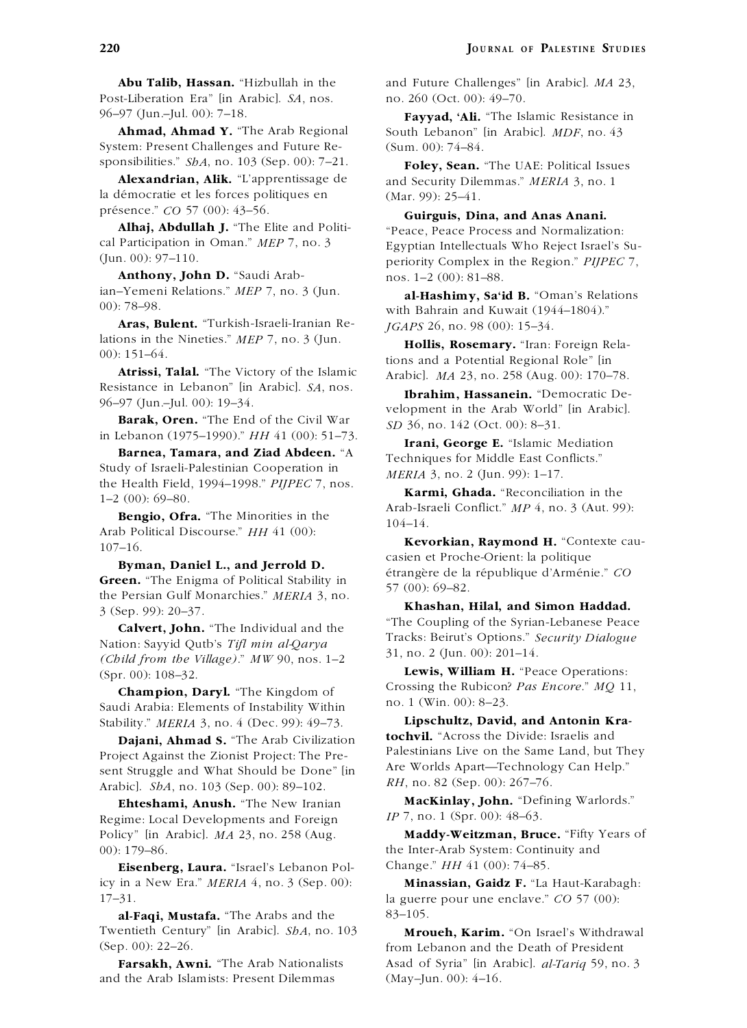Post-Liberation Era" [in Arabic]. *SA*, nos. no. 260 (Oct. 00): 49–70.

System: Present Challenges and Future Re- (Sum. 00): 74–84.<br>sponsibilities."  $SbA$ , no. 103 (Sep. 00): 7–21. **Foley Sean** 

la démocratie et les forces politiques en  $(Mar. 99)$ : 25–41.<br>présence."  $CO$  57 (00): 43–56.

**Anthony, John D.** "Saudi Arab- nos. 1–2 (00): 81–88. ian–Yemeni Relations." *MEP* 7, no. 3 (Jun. **al-Hashimy, Sa'id B.** "Oman's Relations

**Aras, Bulent.** "Turkish-Israeli-Iranian Re-<br> *JGAPS* 26, no. 98 (00): 15–34.<br> **Arashment Arashment Arashment Arashment Arashment Arashment Arashment Arashment Arashment Arashment Arashment Arashment Arashment Arashment Ar** lations in the Nineties." *MEP* 7, no. 3 (Jun. **Hollis, Rosemary.** "Iran: Foreign Rela-

**Atrissi, Talal.** "The Victory of the Islamic Arabic]. *MA* 23, no. 258 (Aug. 00): 170–78.<br>Resistance in Lebanon" [in Arabic]. *SA*, nos.

**Barak, Oren.** "The End of the Civil War *SD* 36, no. 142 (Oct. 00): 8–31.<br>in Lebanon (1975–1990)." HH 41 (00): 51–73.

**Barnea, Tamara, and Ziad Abdeen.** "A Study of Israeli-Palestinian Cooperation in the Health Field, 1994–1998." *PIJPEC* 7, nos. *MERIA* 3, no. 2 (Jun. 99): 1–17.

Arab Political Discourse." *HH* 41 (00):<br>107–16. **Kevorkian, Raymond H.** "Contexte cau-<br>casien et Proche-Orient: la politique

**Green.** "The Enigma of Political Stability in the Persian Gulf Monarchies." *MERIA* 3, no.<br>3 (Sep. 99): 20–37. **Khashan, Hilal, and Simon Haddad.**<br>**Calvert, John.** "The Individual and the "The Coupling of the Syrian-Leba

31, no. 2 (Jun. 00): 201–14. *(Child from the Village)*." *MW* 90, nos. 1–2 **Lewis, William H.** "Peace Operations: (Spr. 00): 108–32.

**Crossing the Rubicon?** *Pas Encore.*" *MQ* 11, <br>
Saudi Arabia: Elements of Instability Within no. 1 (Win. 00): 8–23.<br>
Stability." MERIA 3, no. 4 (Dec. 99): 49–73. **Lipschultz, David, and Antonin Kra-**

Project Against the Zionist Project: The Pre-<br>Sent Struggle and What Should be Done" lin Are Worlds Apart—Technology Can Help."  $\frac{1}{2}$  Struggle and What Should be Done" [in Are Worlds Apart—Technology Canadic Canadic Show RH, no. 82 (Sep. 00): 267–76. *RHabic]. <i>ShA*, no. 103 (Sep. 00): 89–102.

Regime: Local Developments and Foreign Policy" [in Arabic]. *MA* 23, no. 258 (Aug. **Maddy-Weitzman, Bruce.** "Fifty Years of 00): 179–86. the Inter-Arab System: Continuity and

**Eisenberg, Laura.** "Israel's Lebanon Pol-<br>Change." *HH* 41 (00): 74–85. icy in a New Era." *MERIA* 4, no. 3 (Sep. 00): **Minassian, Gaidz F.** "La Haut-Karabagh: 17–31. la guerre pour une enclave." *CO* 57 (00):

al-Faqi, Mustafa. "The Arabs and the 83-105. Twentieth Century" [in Arabic]. *ShA*, no. 103 **Mroueh, Karim.** "On Israel's Withdrawal (Sep. 00): 22–26. from Lebanon and the Death of President

and the Arab Islamists: Present Dilemmas (May–Jun. 00): 4–16.

**Abu Talib, Hassan.** "Hizbullah in the and Future Challenges" [in Arabic]. *MA* 23,

96–97 (Jun.–Jul. 00): 7–18.<br>**Fayyad, 'Ali.** "The Islamic Resistance in<br>South Lebanon" [in Arabic]. *MDF*, no. 43 South Lebanon" [in Arabic]. *MDF*, no. 43

onsibilities." *ShA*, no. 103 (Sep. 00): 7–21. **Foley, Sean.** "The UAE: Political Issues<br>**Alexandrian, Alik.** "L'apprentissage de and Security Dilemmas." MERIA 3, no. 1 and Security Dilemmas." *MERIA* 3, no. 1

presence." CO 57 (00): 45–50.<br>**Alhaj, Abdullah J.** "The Elite and Politi-**Company of Peace Process and Normalization Alhaj, Abdullah J.** "The Elite and Politi-<br>cal Participation in Oman." *MEP* 7, no. 3 Egyptian Intellectuals Who Reject Israel's Su-<br>fun. 00): 97–110.<br>periority Complex in the Region." *PIIPEC* 7 periority Complex in the Region." *PIJPEC* 7,

with Bahrain and Kuwait (1944–1804)."

00): 151–04.<br> **Atrissi, Talal.** "The Victory of the Islamic and a Potential Regional Role" [in **Atrissi, Talal.** "The Victory of the Islamic and a Potential Atlanta 23, no. 258 (Aug. 00): 170–

Resistance in Lebanon (in Arabic). *SA*, nos. **Ibrahim, Hassanein.** "Democratic De-<br>96–97 (Jun.–Jul. 00): 19–34. velopment in the Arab World" [in Arabic].

Irani, George E. "Islamic Mediation Techniques for Middle East Conflicts."

the Health Field, 1994–1998." PIJPEC 7, nos.<br> **Karmi, Ghada.** "Reconciliation in the<br> **Rengio, Ofra.** "The Minorities in the<br>
Arab-Israeli Conflict."  $MP\ 4$ , no. 3 (Aut. 99):<br>
Arab Political Discourse."  $HH\ 41\ (00)$ :

**byman, Daniel L., and Jerrold D. Example 6** a république d'Arménie." CO

**Calvert, John.** "The Individual and the Nation: Sayyid Qutb's *Tifl min al-Qarya* Tracks: Beirut's Options." *Security Dialogue* (Cl. 11.6, and 1.11.1),"  $\frac{1}{2}$   $\frac{1}{2}$   $\frac{1}{2}$   $\frac{1}{2}$   $\frac{1}{2}$   $\frac{1}{2}$   $\frac{1}{2$ 

Stability." *MERIA* 3, no. 4 (Dec. 99): 49–73. **Lipschultz, David, and Antonin Krater Indianism Lipschultz**, **David, and Antonin Krater** *Indianism Lipschultz***, David, and Antonin Krater** *Indianism* **<b>Indianism Convil. Dajani, Ahmad S.** "The Arab Civilization" **bochvil.** "Across the Divide: Israelis and **Palestinians** Live on the Same Land, but They

**Ehteshami, Anush.** "The New Iranian **MacKinlay, John.** "Defining Warlords." **i**,  $IP$  7, no. 1 (Spr. 00): 48–63.

**Farsakh, Awni.** "The Arab Nationalists Asad of Syria" [in Arabic]. *al-Tariq* 59, no. 3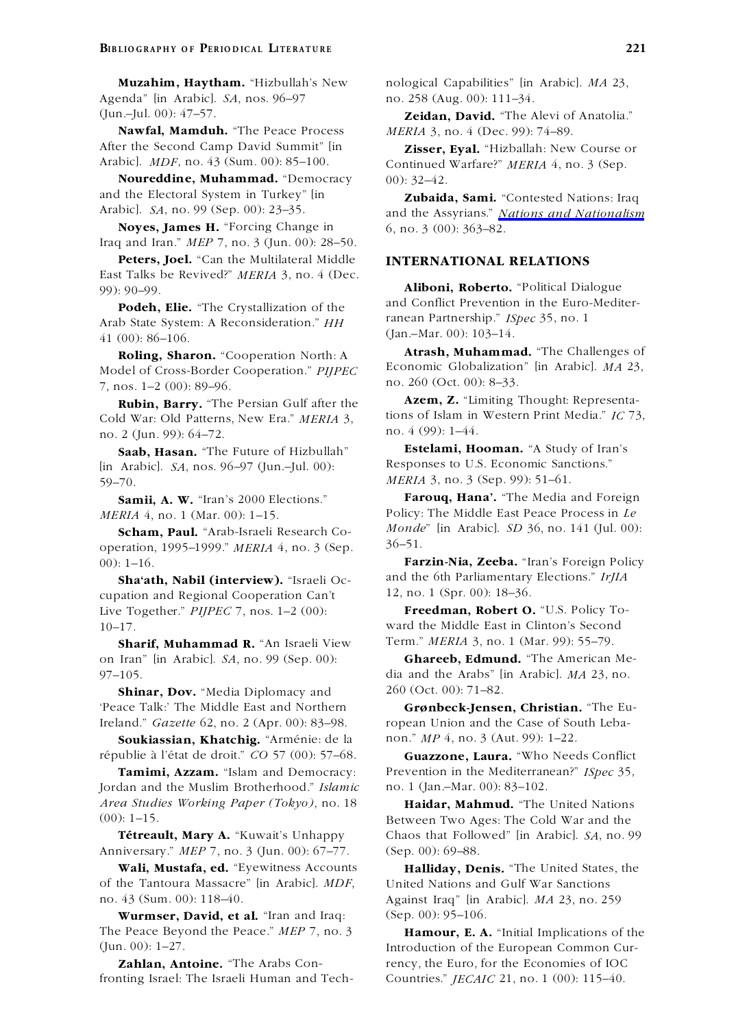Agenda" [in Arabic]. *SA*, nos. 96–97 no. 258 (Aug. 00): 111–34.

Nawfal, Mamduh. "The Peace Process After the Second Camp David Summit" [in **Zisser, Eyal.** "Hizballah: New Course or Arabic]. *MDF*, no. 43 (Sum. 00): 85–100. Continued Warfare?" *MERIA* 4. no. 3 (Sep.

Noureddine, Muhammad. "Democracy and the Electoral System in Turkey" [in **Zubaida, Sami.** "Contested Nations: Iraq<br>Arabicl. SA, no. 99 (Sep. 00): 23–35. and the Assyrians" Nations and Nationalism

**Noyes, James H.** "Forcing Change in 6, no. 3 (00): 363–82. Iraq and Iran." *MEP* 7, no. 3 (Jun. 00): 28–50.

**Peters, Joel.** "Can the Multilateral Middle **INTERNATIONAL RELATIONS** East Talks be Revived?" *MERIA* 3, no. 4 (Dec.

**Podeh, Elie.** "The Crystallization of the and Conflict Prevention in the Euro-<br>he State System: A Posson identity of The ranean Partnership." *ISpec* 35, no. 1 Arab State System: A Reconsideration." *HH* 41 (00):  $86-106$ .<br> **Roling Sharon** "Cooperation North: A **Atrash, Muhammad.** "The Challenges of

Model of Cross-Border Cooperation." *PIJPEC* Economic Globalization<br>7 nos 1–2 (00): 89–96 no. 260 (Oct. 00): 8–33. 7, nos. 1–2 (00): 89–96.

Cold War: Old Patterns, New Era." *MERIA* 3, *ions* of Islam in no. 2 (Jun 99): 64–72 *FRIA* 3, *ERIA* 3, *ERIA* 3, *ERIA* 3, *ERIA* 3, *ERIA* 3, *ERIA* 3, *ERIA* 3, *ERIA* 3, *ERIA* 3, *ERIA* 3, *ERIA* 3, *ERIA* 3, *ERIA* no no. 4 (99): 1–44. . 2 (Jun. 99): 64–72.

[in Arabic]. *SA*, nos. 96–97 (Jun.–Jul. 00): 59–70. *MERIA* 3, no. 3 (Sep. 99): 51–61.

**Scham, Paul.** "Arab-Israeli Research Co- *Monde*<br> **Solution** 1005, 1000," MERLA (i.no. 3 (Sep. 36–51.) 36–51. operation, 1995–1999." *MERIA* 4, no. 3 (Sep. 00): 1–16. **Farzin-Nia, Zeeba.** "Iran's Foreign Policy

cupation and Regional Cooperation Can't Live Together." *PIJPEC* 7, nos. 1–2 (00): **Freedman, Robert O.** "U.S. Policy To-10–17. ward the Middle East in Clinton's Second

on Iran" [in Arabic]. *SA*, no. 99 (Sep. 00): **Ghareeb, Edmund.** "The American Me- 97–105. dia and the Arabs" [in Arabic]. *MA* 23, no.

**Shinar, Dov.** "Media Diplomacy and 260 (Oct. 00): 71–82. 'Peace Talk:' The Middle East and Northern **Grønbeck-Jensen, Christian.** "The Eu-Ireland." *Gazette* 62, no. 2 (Apr. 00): 83–98. ropean Union and the Case of South Leba-

**Soukiassian, Khatchig.** "Arménie: de la non." *MP* 4, no. 3 (Aut. 99): 1–22. républie à l'état de droit." *CO* 57 (00): 57-68. **Guazzone, Laura.** "Who Needs Conflict

Jordan and the Muslim Brotherhood." *Islamic* no. 1 (Jan.–Mar. 00): 83–102. *Area Studies Working Paper (Tokyo)*, no. 18 **Haidar, Mahmud.** "The United Nations

Anniversary." *MEP* 7, no. 3 (Jun. 00): 67–77. (Sep. 00): 69–88.

of the Tantoura Massacre" [in Arabic]. *MDF*, United Nations and Gulf War Sanctions

**Wurmser, David, et al.** "Iran and Iraq: (Sep. 00): 95–106. The Peace Beyond the Peace." *MEP* 7, no. 3 **Hamour, E. A.** "Initial Implications of the

fronting Israel: The Israeli Human and Tech- Countries." *JECAIC* 21, no. 1 (00): 115–40.

**Muzahim, Haytham.** "Hizbullah's New nological Capabilities" [in Arabic]. *MA* 23,

(Jun.–Jul. 00): 47–57. **Zeidan, David.** "The Alevi of Anatolia."

Continued Warfare?" *MERIA* 4, no. 3 (Sep. 00): 32–42.

and the Assyrians." *Nations and Nationalism* 

Aliboni, Roberto. "Political Dialogue<br>and Conflict Prevention in the Euro-Mediter-

**Roling, Sharon.** "Cooperation North: A **Atrash, Muhammad.** "The Challenges of **Rolling, Sharon.** "Cooperation " *PHPFC* **Economic Globalization**" [in Arabic]. *MA* 23,

**Rubin, Barry.** "The Persian Gulf after the **Azem, Z.** "Limiting Thought: Representa-<br>ld War, Old Patterns, New Era." MEPLA 3 tions of Islam in Western Print Media." IC 73.

**Saab, Hasan.** "The Future of Hizbullah" **Estelami, Hooman.** "A Study of Iran's Arabicl SA nos 96–97 (Iun –Iul 00). Responses to U.S. Economic Sanctions."

**Samii, A. W.** "Iran's 2000 Elections." **Farouq, Hana'.** "The Media and Foreign *MERIA* 4, no. 1 (Mar. 00): 1–15. Policy: The Middle East Peace Process in *Le*<br>**Scham Paul** "Arab-Israeli Research Co-<br>*Monde*" [in Arabic]. *SD* 36, no. 141 (Jul. 00):

**Sha'ath, Nabil (interview).** "Israeli Oc-<br>
and the 6th Parliamentary Elections." *IrJIA*<br>
12, no. 1 (Spr. 00): 18–36.

**Sharif, Muhammad R.** "An Israeli View Term." MERIA 3, no. 1 (Mar. 99): 55-79.

**Tamimi, Azzam.** "Islam and Democracy: Prevention in the Mediterranean?" *ISpec* 35,

(00): 1–15. Between Two Ages: The Cold War and the **Tétreault, Mary A.** "Kuwait's Unhappy Chaos that Followed" [in Arabic]. *SA*, no. 99

**Wali, Mustafa, ed.** "Eyewitness Accounts **Halliday, Denis.** "The United States, the no. 43 (Sum. 00): 118–40. Against Iraq" [in Arabic]. *MA* 23, no. 259

(Jun. 00): 1–27. Introduction of the European Common Cur- **Zahlan, Antoine.** "The Arabs Con- rency, the Euro, for the Economies of IOC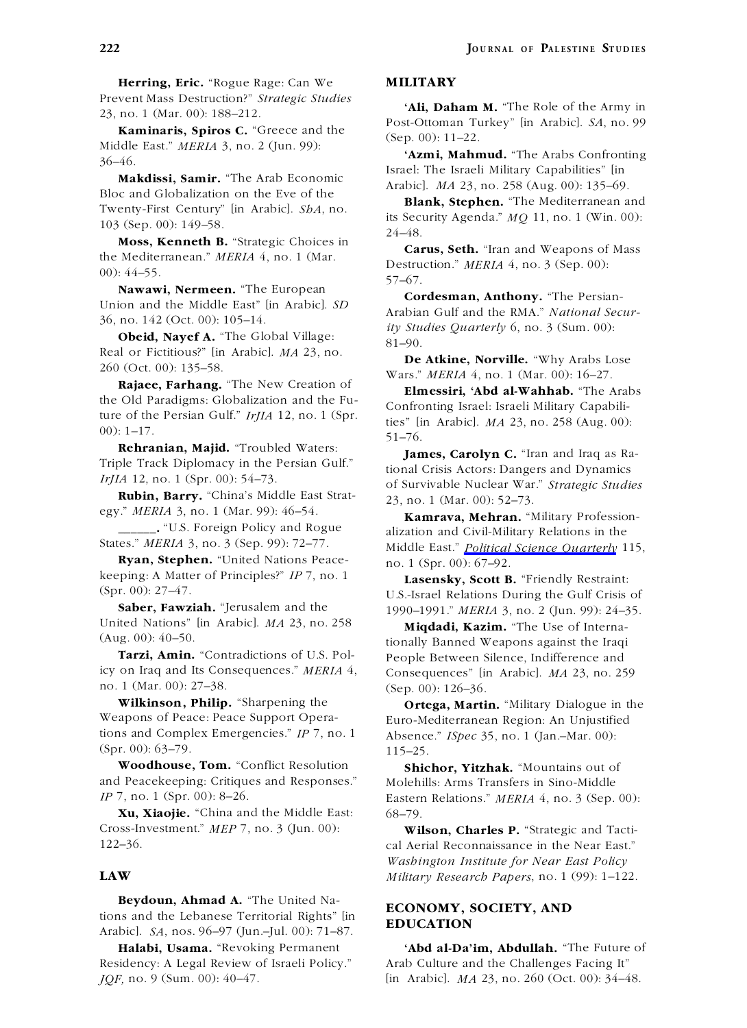**Herring, Eric.** "Rogue Rage: Can We **MILITARY** Prevent Mass Destruction?" *Strategic Studies*

**Examinaris, Spiros C.** "Greece and the (Sep. 00): 11–22.<br>Middle East." *MERIA* 3, no. 2 (Jun. 99): (Sep. 00): 11–22. **Azmi, Mahmud.** "The Arabs Confronting

**Moss, Kenneth B.** "Strategic Choices in

**Nawawi, Nermeen.** The European **Cordesman, Anthony.** "The Persian-<br>Union and the Middle East" [in Arabic]. *SD* 

**Obeid, Nayef A.** "The Global Village:<br> **Collary A.** "The Global Village:<br>
Real or Fictitious?" [in Arabic]. MA 23, no.<br> **De Atkine, Norville.** "Why Arabs Lose 260 (Oct. 00): 135–58.<br>
Wars." MERIA 4, no. 1 (Mar. 00): 16–2

**Rajaee, Farhang.** "The New Creation of **Rajaee, Farhang.** "The New Creation of the Old Paradigms: Globalization and the Fu-<br> **Rajaee, Farhang.** "The New Creation of **Elmessiri, 'Abd al-Wahhab.** "The Arabs the Old Paradigms: Globalization and the Fu-<br>the Schrift Israel: Israeli Military Capabili-<br>ture of the Persian Gulf."  $I r J I A$  12, no. 1 (Spr. is a happied MA 22, no. 259 (Aug. 00)

Triple Track Diplomacy in the Persian Gulf." the tional Crisis Actors: Dangers and Dynamics  $Ir/IA$  12, no. 1 (Spr. 00): 54–73.

**Ryan, Stephen.** "United Nations Peace- no. 1 (Spr. 00): 67-92. keeping: A Matter of Principles?" *IP* 7, no. 1 **Lasensky, Scott B.** "Friendly Restraint:<br>(Spr. 00): 27–47. **Lasensky, Scott B.** TI S Jsrael Relations During the Gulf Crisis

United Nations" [in Arabic]. *MA* 23, no. 258 **Miqdadi, Kazim.** "The Use of Interna-<br>(Aug. 00): 40–50. **Marging 1.12** tionally Banned Weapons against the Iraqi

icy on Iraq and Its Consequences." *MERIA* 4, Consequences" [in Arabic]. *MA* 23, no. 259 no. 1 (Mar. 00):  $27-38$ . (Sep 00):  $126-36$ 

**Wilkinson, Philip.** "Sharpening the **Ortega, Martin.** "Military Dialogue in the Weapons of Peace: Peace Support Operations and Complex Emergencies." *IP* 7, no. 1 Absence." *ISpec* 35, no. 1 (Jan.–Mar. 00):  $(Spr. 00): 63-79.$  115–25.

**Woodhouse, Tom.** "Conflict Resolution **Shichor, Yitzhak.** "Mountains out of and Peacekeeping: Critiques and Responses." Molehills: Arms Transfers in Sino-Middle

**Xu, Xiaojie.** "China and the Middle East: 68–79. Cross-Investment." *MEP* 7, no. 3 (Jun. 00): **Wilson, Charles P.** "Strategic and Tacti-

**Beydoun, Ahmad A.** "The United Na-<br> **ECONOMY, SOCIETY, AND**<br> **EDUCATION** Arabic]. *SA*, nos. 96–97 (Jun.–Jul. 00): 71–87.

Residency: A Legal Review of Israeli Policy." Arab Culture and the Challenges Facing It"

**Ali, Daham M.** "The Role of the Army in 23, no. 1 (Mar. 00): 188–212.<br>Post-Ottoman Turkey" [in Arabic]. *SA*, no. 99

36–46.<br> **Makdissi, Samir.** "The Arab Economic Israel: The Israeli Military Capabilities" [in<br> **Makdissi, Samir.** "The Arab Economic Bloc and Globalization on the Eve of the Twenty-First Century" [in Arabic]. *SbA*, no.<br>
Tw

**Example 1.** Twenty-First Century" [in Arabic]. *SbA*, no. **Example 1.** The Mediterranean and its Security Agenda." *MQ* 11, no. 1 (Win. 00):  $\frac{24-48}{\ldots}$ .

**Carus, Seth.** "Iran and Weapons of Mass<br>the Mediterranean." *MERIA* 4, no. 1 (Mar. Destruction." *MERIA* 4, no. 3 (Sep. 00):<br>00): 44–55. **Nawawi, Nermeen.** "The European

Union and the Middle East 'the Arabic]. *SD* Arabian Gulf and the RMA." *National Secur-* 36, no. 142 (Oct. 00): 105–14. *ity Studies Quarterly 6*, no. 3 (Sum. 00):

ture of the Persian Gulf." *IrJIA* 12, no. 1 (Spr. ties" [in Arabic]. *MA* 23, no. 258 (Aug. 00): 00): 1–17. 51–76.

James, Carolyn C. "Iran and Iraq as Ra-*IrJIA* 12, no. 1 (Spr. 00): 54–75. of Survivable Nuclear War." *Strategic Studies*<br>**Rubin, Barry.** "China's Middle East Strat- 23, no. 1 (Mar. 00): 52–73.<br>**EXALLE BELGISH COMPANYA MARGAN (Military Profession** 

egy." *MERIA* 3, no. 1 (Mar. 99): 40–54. **Kamrava, Mehran.** "Military Profession-<br> **EXALCA** 3, no. 3 (Sep. 99): 72–77. Middle East " Political Science Quarterly 115 Middle East." *Political Science Quarterly* 115,

(spr. 00):  $2/-4$ .<br> **Saber, Fawziah.** "Jerusalem and the  $\frac{US}{1990-1991}$ " MERIA 3, no. 2 (Jun. 99): 24–35 **Saber, Fawziah.** "Jerusalem and the 1990–1991." *MERIA* 3, no. 2 (Jun. 99): 24–35.

1g. 00): 40–50.<br>**Tarzi, Amin.** "Contradictions of U.S. Pole **Reprises and People Between Silence** Indifference and People Between Silence, Indifference and (Sep. 00): 126–36.

Euro-Mediterranean Region: An Unjustified

*IP* 7, no. 1 (Spr. 00): 8–26. **Eastern Relations.**" *MERIA* 4, no. 3 (Sep. 00):

122–36. cal Aerial Reconnaissance in the Near East." *Washington Institute for Near East Policy* **LAW** *Military Research Papers*, no. 1 (99): 1–122.

**Halabi, Usama.** "Revoking Permanent **'Abd al-Da'im, Abdullah.** "The Future of *JQF,* no. 9 (Sum. 00): 40–47. [in Arabic]. *MA* 23, no. 260 (Oct. 00): 34–48.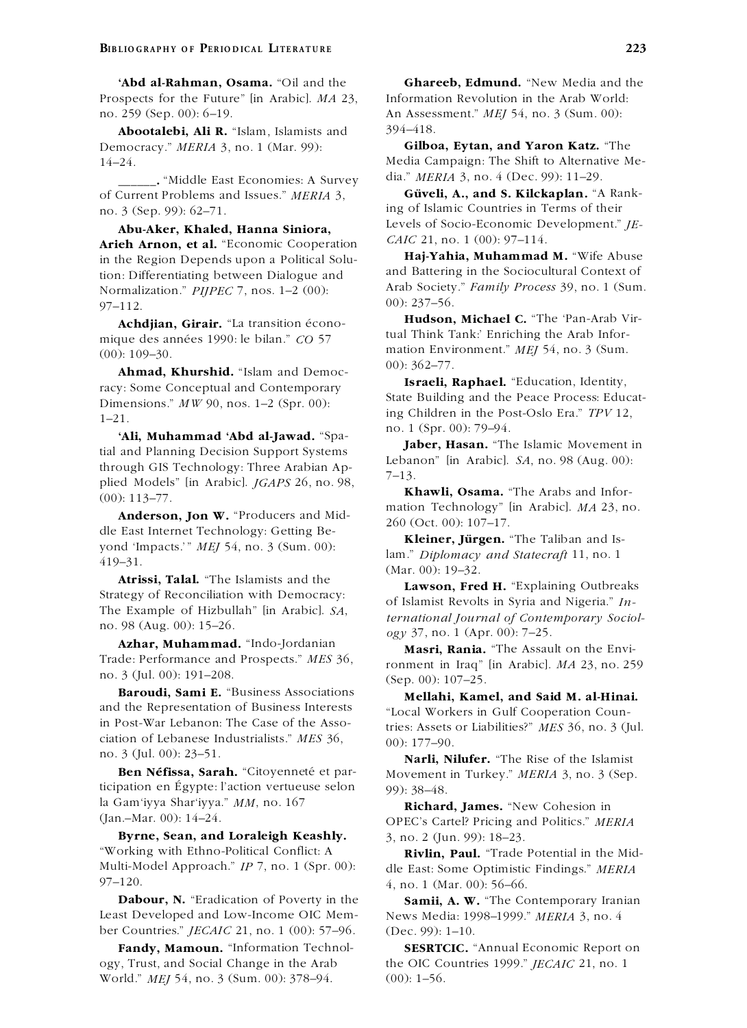Prospects for the Future" [in Arabic]. *MA* 23, Information Revolution in the Arab World: no. 259 (Sep. 00): 6–19. An Assessment." *MEJ* 54, no. 3 (Sum. 00):

**Abootalebi, Ali R.** "Islam, Islamists and  $394-418$ . Democracy." *MERIA* 3, no. 1 (Mar. 99): **Gilboa, Eytan, and Yaron Katz.** "The 14–24.

dia." *MERIA* 3, no. 4 (Dec. 99): 11–29.<br>In Problems and Issues." *MERIA* 3. **Güveli, A., and S. Kilckaplan.** "A Rankof Current Problems and Issues." *MERIA* 3,<br>no. 3 (Sep. 99): 62–71. **and S. Kilckaplan.** "A Rank- ing of Islamic Countries in Terms of their

**Arieh Arnon, et al.** "Economic Cooperation *CAIC* 21, no. 1 (00): 97–114.<br>
in the Region Depends upon a Political Solu-<br> **Haj-Yahia, Muhammad M.** "Wife Abuse<br>
and Battering in the Sociocultural Context of Normalization." *PIJPEC* 7, nos. 1-2 (00): 97–112.  $00): 237–56.$ <br> **Hudson, Michael C.** "The 'Pan-Arab Vir-

**Ahmad, Khurshid.** "Islam and Democ-<br> **Israeli, Raphael.** "Education, Identity,<br> **Israeli, Raphael.** "Education, Identity, Dimensions." *MW* 90, nos. 1–2 (Spr. 00):

**Ali, Muhammad 'Abd al-Jawad.** "Space of Lept. 809.1797."<br>
tial and Planning Decision Support Systems<br>
through GIS Technology: Three Arabian Applied Models" [in Arabic]. *JGAPS* 26, no. 98,<br>
plied Models" [in Arabic]. *JG* 

yond 'Impacts.'" *MEJ* 54, no. 3 (Sum. 00): lam." *Diplomacy and Statecraft* 11, no. 1 lam." *Diplomacy and Statecraft* 11, no. 1

**Atrissi, Talal.** "The Islamists and the  $\frac{\text{(Mar. 00): 19-32.}}{\text{7}}$ 

Azhar, Muhammad. "Indo-Jordanian **Masri, Rania.** "The Assault on the Envi-

and the Representation of Business Interests

ticipation en Égypte: l'action vertueuse selon 99): 38–48.<br>la Gam'iyya Shar'iyya."  $MM$ , no. 167 la Gam'iyya Shar'iyya." *MM*, no. 167 **Richard, James.** "New Cohesion in

**Byrne, Sean, and Loraleigh Keashly.** 3, no. 2 (Jun. 99): 18–23. "Working with Ethno-Political Conflict: A **Rivlin, Paul.** "Trade Potential in the Mid-Multi-Model Approach." *IP* 7, no. 1 (Spr. 00): dle East: Some Optimistic Findings." *MERIA*

**Dabour, N.** "Eradication of Poverty in the **Samii, A. W.** "The Contemporary Iranian Least Developed and Low-Income OIC Mem- News Media: 1998–1999." *MERIA* 3, no. 4 ber Countries." *JECAIC* 21, no. 1 (00): 57–96. (Dec. 99): 1–10.

ogy, Trust, and Social Change in the Arab the OIC Countries 1999." *JECAIC* 21, no. 1 World." *MEJ* 54, no. 3 (Sum. 00): 378–94. (00): 1–56.

**'Abd al-Rahman, Osama.** "Oil and the **Ghareeb, Edmund.** "New Media and the

Media Campaign: The Shift to Alternative Me-

Levels of Socio-Economic Development." *JE-* **Abu-Aker, Khaled, Hanna Siniora,**

tion: Differentiating between Dialogue and and Battering in the Sociocultural Context of<br>Normalization " *PIIPEC 7* nos 1–2 (00) Arab Society." *Family Process* 39, no. 1 (Sum.

**Hudson, Michael C.** "The 'Pan-Arab V.<br>and decennes on the bilen " CO 57 can find Think Tank: Enriching the Arab Informique des années 1990: le bilan." *CO* 57 mation Environment." *MEJ* 54, no. 3 (Sum. (00): 109–30.

ing Children in the Post-Oslo Era." *TPV* 12, 1–21. no. 1 (Spr. 00): 79–94.

**Kleiner, Jurgen. ¨** "The Taliban and Is-

**Example of Reconciliation with Democracy:**<br>
The Example of Hizbullah" [in Arabic]. *SA*,<br> **Example of Hizbullah**" [in Arabic]. *SA*,<br> **Example of Hizbullah**" [in Arabic]. *SA*,<br> **Example of Hizbullah**" [in Arabic]. *SA*,<br> *ogy* 37, no. 1 (Apr. 00): 7–25.

Trade: Performance and Prospects." *MES* 36, ronment in Iraq" [in Arabic]. *MA* 23, no. 259 no. 3 (Jul. 00): 191–208. (Sep. 00): 107–25.<br>**Baroudi, Sami E.** "Business Associations **Mallabi Kamel and Said Mal Hinai** 

**Mellahi, Kamel, and Said M. al-Hinai.** "Local Workers in Gulf Cooperation Counin Post-War Lebanon: The Case of the Asso-<br>ciation of Lebanese Industrialists." *MES* 36,  $\frac{0.01}{0.01 \cdot 177 - 0.0}$ 

ciation of Lebanese Industrialists." *MES* 36, 00): 177–90.<br>
no. 3 (Jul. 00): 23–51. **Narli, Nilufer.** "The Rise of the Islamist<br> **Ben Néfissa, Sarah.** "Citoyenneté et par-<br>
Movement in Turkey." *MERIA* 3. no. 3 (Sep **Movement in Turkey."** *MERIA* **3, no. 3 (Sep.** 

(Jan.–Mar. 00): 14–24. OPEC's Cartel? Pricing and Politics." *MERIA*

4, no. 1 (Mar. 00): 56–66.

**Fandy, Mamoun.** "Information Technol- **SESRTCIC.** "Annual Economic Report on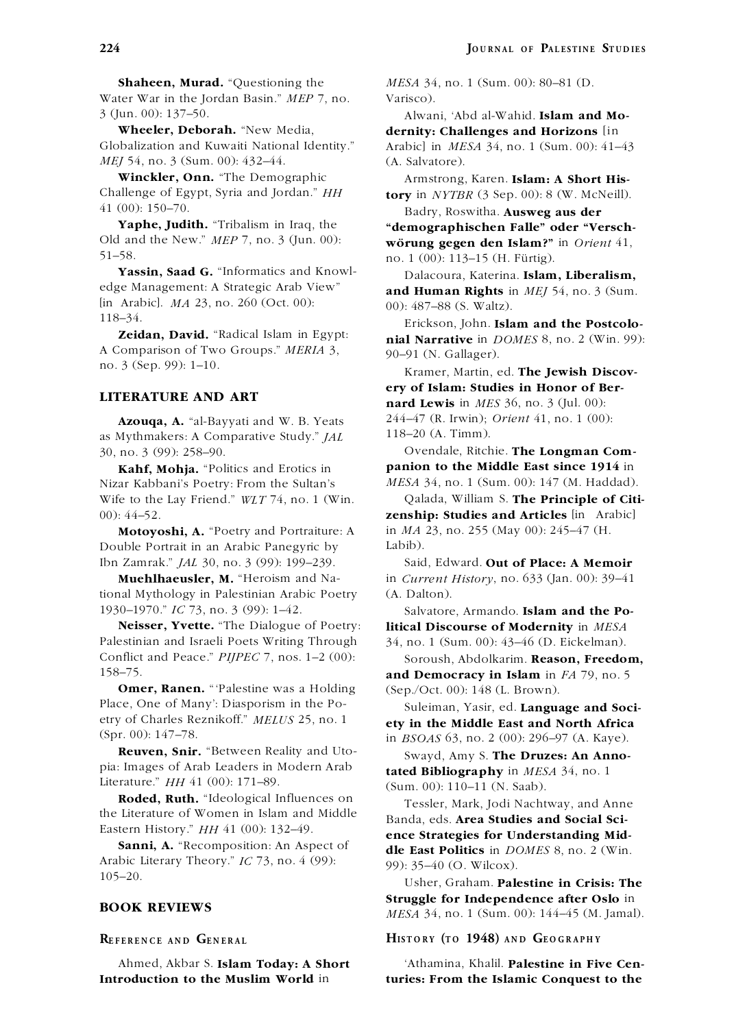**Shaheen, Murad.** "Questioning the *MESA* 34, no. 1 (Sum. 00): 80–81 (D. Water War in the Jordan Basin." *MEP* 7, no. Varisco). 3 (Jun. 00): 137–50. Alwani, 'Abd al-Wahid. **Islam and Mo-**

Globalization and Kuwaiti National Identity." Arabic] in *MESA* 34, no. 1 (Sum. 00): 41–43 *MEJ* 54, no. 3 (Sum. 00): 432–44. (A. Salvatore).

**Winckler, Onn.** "The Demographic Armstrong, Karen. **Islam: A Short His-**<br>Challenge of Egypt, Syria and Jordan." *HH* **torv** in *NYTBR* (3 Sep. 00): 8 (W. McNeill).

**Yassin, Saad G.** "Informatics and Knowl-<br>
Dalacoura, Katerina. **Islam, Liberalism,**<br>
edge Management: A Strategic Arab View" and Human Rights in MEL54, no. 3 (Sum [in Arabic]. *MA* 23, no. 260 (Oct. 00): 00): 487–88 (S. Waltz).

A Comparison of Two Groups." *MERIA* 3, 90–91 (N. Gallager).<br>
no. 3 (Sep. 99): 1–10. Kramer, Martin, ed. **The Jewish Discov-**

118–20 (A. Timm). as Mythmakers: A Comparative Study." *JAL* 30, no. 3 (99): 258–90. Ovendale, Ritchie. **The Longman Com-**

Nizar Kabbani's Poetry: From the Sultan's Wife to the Lay Friend." *WLT* 74, no. 1 (Win. Qalada, William S. **The Principle of Citi-**

Double Portrait in an Arabic Panegyric by Labib). Ibn Zamrak." *JAL* 30, no. 3 (99): 199–239. Said, Edward. **Out of Place: A Memoir**

tional Mythology in Palestinian Arabic Poetry (A. Dalton).

Palestinian and Israeli Poets Writing Through 34, no. 1 (Sum. 00): 43–46 (D. Eickelman). Conflict and Peace." *PIJPEC* 7, nos. 1–2 (00): Soroush, Abdolkarim. **Reason, Freedom,**<br>158–75. **and Democracy in Islam** in E4.79, no.5

**Omer, Ranen.** "Palestine was a Holding (Sep./Oct. 00): 148 (L. Brown).<br>Place, One of Many': Diasporism in the Po-<br>Suleiman Yasir ed **Lanous** etry of Charles Reznikoff." *MELUS* 25, no. 1 **ety in the Middle East and North Africa**

**Reuven, Snir.** "Between Reality and Uto-<br>
pia: Images of Arab Leaders in Modern Arab<br> **Ribliography** in MESA 34, no. 1 Literature." *HH* 41 (00): 171–89. (Sum. 00): 110–11 (N. Saab).

**Roded, Ruth.** "Ideological Influences on Tessler, Mark, Jodi Nachtway, and Anne<br>the Literature of Women in Islam and Middle the Literature of Women in Islam and Middle Banda, eds. **Area Studies and Social Sci-**<br> **Eastern History**." *HH* 41 (00): 132–49.

Arabic Literary Theory." *IC* 73, no. 4 (99): 99): 35–40 (O. Wilcox).<br>105–20.

**Wheeler, Deborah.** "New Media, **dernity: Challenges and Horizons** [in

 $\textbf{tory}$  in *NYTBR* (3 Sep. 00): 8 (W. McNeill).

41 (00): 150–70. Badry, Roswitha. **Ausweg aus der Yaphe, Judith.** "Tribalism in Iraq, the **"demographischen Falle" oder "Versch-**<br>Old and the New." MEP 7, no. 3 (Jun. 00): **wörung gegen den Islam?**" in Orient 41 Old and the New." *MEP* 7, no. 3 (Jun. 00): **worung gegen den Islam?"** in *Orient* 41,  $\frac{51-58}{2}$ 51–58. no. 1 (00): 113–15 (H. Furtig). ¨

and Human Rights in *MEI* 54, no. 3 (Sum.

118–34. Erickson, John. **Islam and the Postcolo-**<br>**Zeidan, David.** "Radical Islam in Egypt: **nial Narrative** in *DOMES* 8, no. 2 (Win. 99): A Comparison of Two Groups." *MERIA* 3,  $\omega_0 = 01$  (N. Gallager)

**ery of Islam: Studies in Honor of Ber-LITERATURE AND ART nard Lewis** in *MES* 36, no. 3 (Jul. 00): **Azouqa, A.** "al-Bayyati and W. B. Yeats 244–47 (R. Irwin); *Orient* 41, no. 1 (00):

**Kahf, Mohja.** "Politics and Erotics in **panion to the Middle East since 1914** in the Kulture of Kahhani's Poetry. From the Sultan's *MESA* 34, no. 1 (Sum. 00): 147 (M. Haddad).

00): 44–52. **zenship: Studies and Articles** [in Arabic] **Motoyoshi, A.** "Poetry and Portraiture: A in *MA* 23, no. 255 (May 00): 245–47 (H.

**Muehlhaeusler, M.** "Heroism and Na- in *Current History* , no. 633 (Jan. 00): 39–41

1930–1970." *IC* 73, no. 3 (99): 1–42. Salvatore, Armando. **Islam and the Po-Neisser, Yvette.** "The Dialogue of Poetry: **litical Discourse of Modernity** in *MESA* **Neise III Serverser of Modernity** in *MESA* 

and Democracy in Islam in *FA* 79, no. 5

Suleiman, Yasir, ed. Language and Soci-

(spr. 00): 147–78.<br>**Reuven, Snir.** "Between Reality and Uto-<br>**Sward Amy S. The Druggs: An Anno.** tated Bibliography in MESA 34, no. 1

EXTEED FIGURE 1518 **ence Strategies for Understanding Mid-**<br> **Sanni, A.** "Recomposition: An Aspect of **the East Politics** in DOMES 8, no. 2 (Win **dle East Politics** in *DOMES* 8, no. 2 (Win.

105–20. Usher, Graham. **Palestine in Crisis: The Struggle for Independence after Oslo** in **BOOK REVIEWS** *MESA* 34, no. 1 (Sum. 00): 144–45 (M. Jamal).

REFERENCE AND GENERAL HISTORY (TO 1948) AND GEOGRAPHY

Ahmed, Akbar S. **Islam Today: A Short** 'Athamina, Khalil. **Palestine in Five Cen-Introduction to the Muslim World** in **turies: From the Islamic Conquest to the**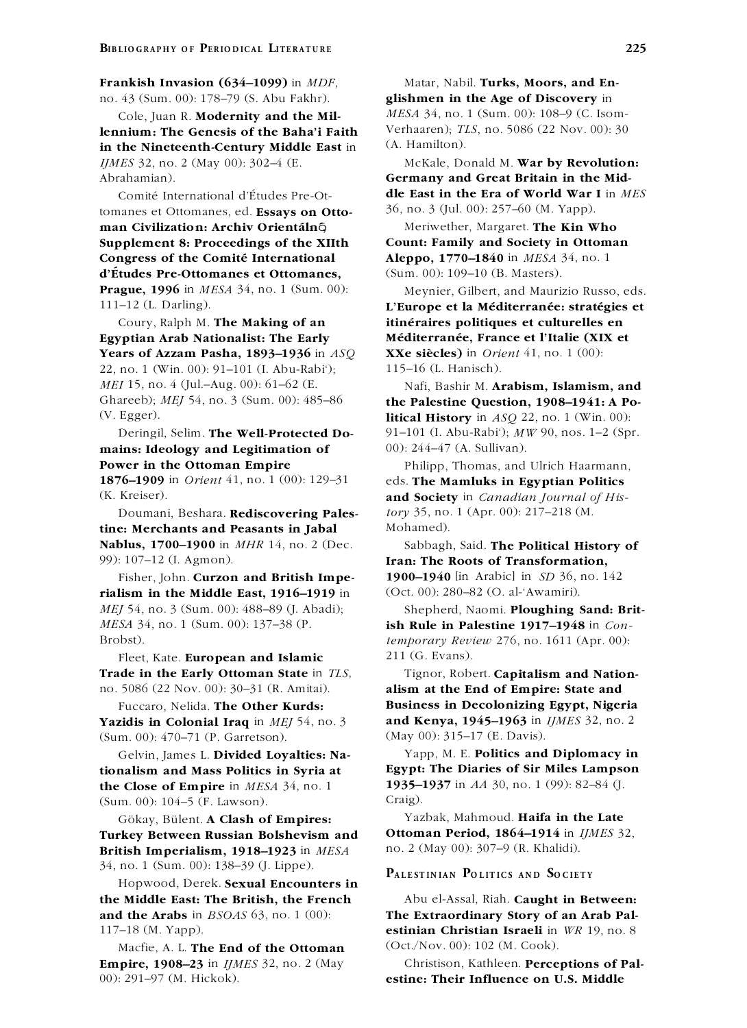## **Frankish Invasion (634–1099)** in *MDF*, Matar, Nabil. **Turks, Moors, and En-**

**lennium: The Genesis of the Baha'i Faith** Verhaaren); *T*.<br> **in the Nineteenth-Century Middle Fast** in (A. Hamilton). in the Nineteenth-Century Middle East in *IJMES* 32, no. 2 (May 00): 302–4 (E. McKale, Donald M. **War by Revolution:** Abrahamian). **Germany and Great Britain in the Mid-**

tomanes et Ottomanes, ed. **Essays on Ottoman Civilization: Archiv Orientaln´ ´** õ**,** Meriwether, Margaret. **The Kin Who Supplement 8: Proceedings of the XIIth Count: Family and Society in Ottoman Congress of the Comité International Aleppo, 1770–1840** in *MESA* 34, no. 1 **d'Études Pre-Ottomanes et Ottomanes,** (Sum. 00): 109–10 (B. Masters). **Prague, 1996** in *MESA* 34, no. 1 (Sum. 00): Meynier, Gilbert, and Maurizio Russo, eds.

**Egyptian Arab Nationalist: The Early Mediterran ´ ee, ´ France et l'Italie (XIX et Years of Azzam Pasha, 1893–1936** in *ASQ* **XXe siecles) `** in *Orient* 41, no. 1 (00): 22, no. 1 (Win. 00): 91–101 (I. Abu-Rabi'); 115–16 (L. Hanisch). *MEI* 15, no. 4 (Jul.–Aug. 00): 61–62 (E. Nafi, Bashir M. **Arabism, Islamism, and**<br>Ghareeb); *MEI* 54, no. 3 (Sum. 00): 485–86 **the Palestine Question. 1908–1941: A Po-**

**mains: Ideology and Legitimation of** 00): 244–47 (A. Sullivan). **Power in the Ottoman Empire** Philipp, Thomas, and Ulrich Haarmann, **1876–1909** in *Orient* 41, no. 1 (00): 129–31 eds. **The Mamluks in Egyptian Politics**

Doumani, Beshara. Rediscovering Pales**tine: Merchants and Peasants in Jabal** Mohamed). **Nablus, 1700–1900** in *MHR* 14, no. 2 (Dec. Sabbagh, Said. **The Political History of** 99): 107–12 (I. Agmon). **Iran: The Roots of Transformation,**

**rialism in the Middle East, 1916–1919** in (Oct. 00): 280–82 (O. al-'Awamiri). *MEJ* 54, no. 3 (Sum. 00): 488–89 (J. Abadi); Shepherd, Naomi. **Ploughing Sand: Brit-***MESA* 34, no. 1 (Sum. 00): 137–38 (P. **ish Rule in Palestine 1917–1948** in *Con-*Brobst). *temporary Review* 276, no. 1611 (Apr. 00):

Fleet, Kate. **European and Islamic** 211 (G. Evans). **Trade in the Early Ottoman State** in *TLS*, Tignor, Robert. **Capitalism and Nation-**

**Yazidis in Colonial Iraq** in *MEI* 54, no. 3 (Sum. 00): 470–71 (P. Garretson). (May 00): 315–17 (E. Davis).

**1935–1937** in *AA* 30, no. 1 (99): 82–84 (J. **the Close of Empire** in *MESA* 34, no. 1 (99): 82–84 (J. (Sum. 00): 104–5 (F. Lawson). Craig).

**Turkey Between Russian Bolshevism and Ottoman Period, 1864–1914** in *IJMES* 32, **British Imperialism, 1918–1923** in *MESA* no. 2 (May 00): 307–9 (R. Khalidi). 34, no. 1 (Sum. 00): 138–39 (J. Lippe).<br>Hopwood, Derek. **Sexual Encounters in** PALESTINIAN POLITICS AND SOCIETY

**the Middle East: The British, the French** Abu el-Assal, Riah. **Caught in Between: and the Arabs** in *BSOAS* 63, no. 1 (00): **The Extraordinary Story of an Arab Pal-**117–18 (M. Yapp). **estinian Christian Israeli** in *WR* 19, no. 8

Macfie, A. L. **The End of the Ottoman** (Oct./Nov. 00): 102 (M. Cook). **Empire, 1908–23** in *IJMES* 32, no. 2 (May Christison, Kathleen. **Perceptions of Pal-**00): 291–97 (M. Hickok). **estine: Their Influence on U.S. Middle**

no. 43 (Sum. 00): 178–79 (S. Abu Fakhr). **glishmen in the Age of Discovery** in Cole, Juan R. **Modernity and the Mil-** *MESA* 34, no. 1 (Sum. 00): 108–9 (C. Isom-<br> **Inium: The Genesis of the Baha'i Faith** Verhaaren); *TLS*, no. 5086 (22 Nov. 00): 30

Comité International d'Études Pre-Ot-<br> **dle East in the Era of World War I** in *MES*<br>  $\frac{36}{100}$ , no. 3 (Jul. 00): 257–60 (M. Yapp).

111-12 (L. Darling). **L'Europe et la Méditerranée: stratégies et** Coury, Ralph M. **The Making of an itineraires ´ politiques et culturelles en**

the Palestine Question, 1908–1941: A Po-(V. Egger). **litical History** in *ASQ* 22, no. 1 (Win. 00): Deringil, Selim. **The Well-Protected Do-** 91–101 (I. Abu-Rabi'); *MW* 90, nos. 1–2 (Spr.

(K. Kreiser). **and Society** in *Canadian Journal of His-*<br>Doumani, Beshara. **Rediscovering Pales-** *tory* 35, no. 1 (Apr. 00): 217–218 (M.

Fisher, John. **Curzon and British Impe- 1900–1940** [in Arabic] in *SD* 36, no. 142

no. 5086 (22 Nov. 00): 30–31 (R. Amitai). **alism at the End of Empire: State and** Fuccaro, Nelida. **The Other Kurds: Business in Decolonizing Egypt, Nigeria**<br>**zidis in Colonial Iraq** in *MEI* 54, no. 3 **and Kenya, 1945–1963** in *IJMES* 32, no. 2

Gelvin, James L. **Divided Loyalties: Na-** Yapp, M. E. **Politics and Diplomacy in tionalism and Mass Politics in Syria at Egypt: The Diaries of Sir Miles Lampson**

Gökay, Bülent. A Clash of Empires: Yazbak, Mahmoud. Haifa in the Late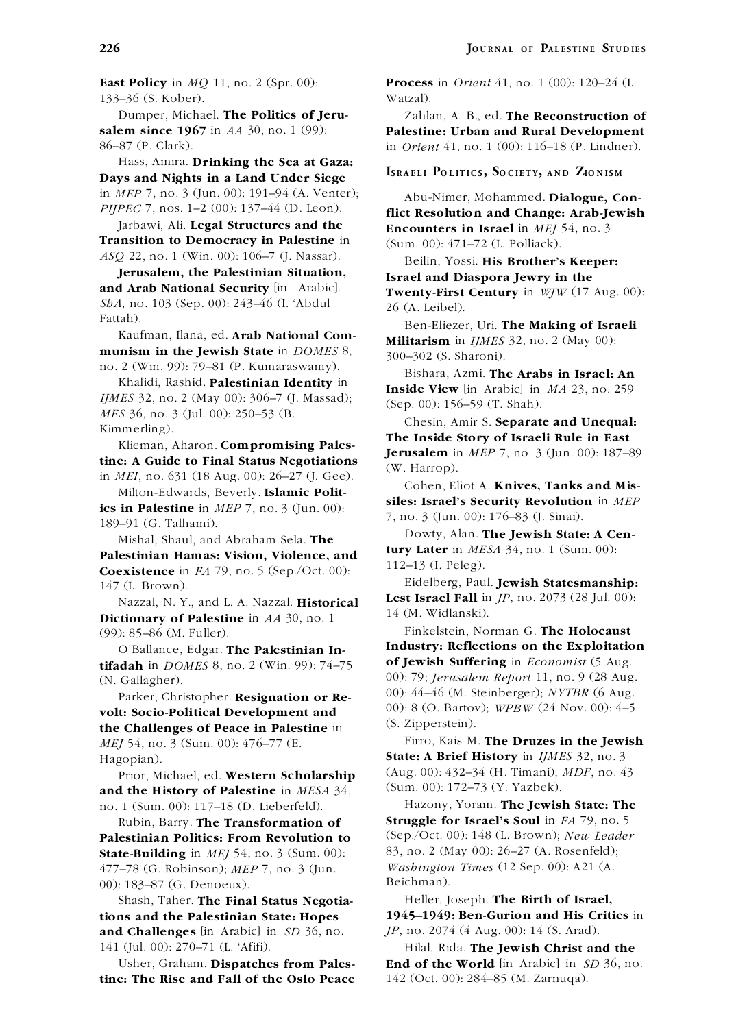**East Policy** in *MQ* 11, no. 2 (Spr. 00): **Process** in *Orient* 41, no. 1 (00): 120–24 (L. 133–36 (S. Kober). Watzal).

Hass, Amira. **Drinking the Sea at Gaza:** Days and Nights in a Land Under Siege Israell POLITICS, SOCIETY, AND ZIONISM in *MEP* 7, no. 3 (Jun. 00):  $191-94$  (A. Venter); Abu-Nimer, Mohammed. **Dialogue, Con-**<br>*PIIPEC* 7, nos.  $1-2$  (00):  $137-44$  (D. Leon).

**Transition to Democracy in Palestine** in (Sum. 00): 471–72 (L. Polliack).<br>ASO 22, no. 1 (Win. 00): 106–7 (J. Nassar). Boilin Vossi **His Prothon'** 

*ShA*, no. 103 (Sep. 00): 243–46 (I. 'Abdul 26 (A. Leibel).

**nunism in the Jewish State** in *DOMES* 8, **Militarism** in *IJMES* 32, no. 2 (May 00): munism in the Jewish state in DOMES 8,<br>
no. 2 (Win. 99): 79–81 (P. Kumaraswamy).<br>
Khalidi, Rashid. Palestinian Identity in<br>
Inside View [in Arabic] in *MA* 23, no. 259

*IJMES* 32, no. 2 (May 00): 306–7 (J. Massad); (Sep. 00): 156–59 (T. Shah).<br>*MES* 36, no. 3 (Jul. 00): 250–53 (B.

**tine: A Guide to Final Status Negotiations** (W. Harrop).<br>in *MEI*, no. 631 (18 Aug. 00): 26–27 (J. Gee). Cohen, Eliot A. **Knives, Tanks and Mis-**

**Palestinian Hamas: Vision, Violence, and**<br>**Consistence** in  $F4.70$ , no. 5 (Sep (Ost, 00): 112–13 (I. Peleg). **Coexistence** in *FA* 79, no. 5 (Sep./Oct. 00):

Nazzal, N. Y., and L. A. Nazzal. **Historical Lest Israel Fall** in **Allah in** *Lest Israel Fall* in *Lest Israel* **Dictionary of Palestine** in *AA* 30, no. 1 Finkelstein, Norman G. **The Holocaust** (99): 85–86 (M. Fuller).

**tifadah** in *DOMES* 8, no. 2 (Win. 99): 74–75

Parker, Christopher. Resignation or Re**volt: Socio-Political Development and**  $(0.80)$ : 8 (O. Bartov); *WPBW* (24 Nov. 00): 4–5<br>**the Challenges of Beace in Palestine** in  $(0.80)$ : S. Zipperstein). the Challenges of Peace in Palestine in *MEJ* 54, no. 3 (Sum. 00): 476–77 (E. Firro, Kais M. **The Druzes in the Jewish**

and the History of Palestine in *MESA* 34, no. 1 (Sum. 00): 117–18 (D. Lieberfeld). Hazony, Yoram. **The Jewish State: The**

**Palestinian Politics: From Revolution to** (Sep./Oct. 00): 148 (L. Brown); *New Lead*<br>**State-Building** in *MEI* 54, no. 3 (Sum, 00): 83, no. 2 (May 00): 26–27 (A. Rosenfeld); **State-Building** in *MEI* 54, no. 3 (Sum. 00): 477–78 *Washington Times* (12 Sep. 00): A21 (A. (G. Robinson); *MEP* 7, no. 3 (Jun. 00): 183-87 (G. Denoeux).

Shash, Taher. **The Final Status Negotia-** Heller, Joseph. **The Birth of Israel, and Challenges** [in Arabic] in *SD* 36, no. *JP*, no. 2074 (4 Aug. 00): 14 (S. Arad). 141 (Jul. 00): 270–71 (L. 'Afifi). Hilal, Rida. **The Jewish Christ and the**

**tine: The Rise and Fall of the Oslo Peace** 142 (Oct. 00): 284–85 (M. Zarnuqa).

Dumper, Michael. **The Politics of Jeru-** Zahlan, A. B., ed. **The Reconstruction of salem since 1967** in AA 30, no. 1 (99): **Palestine: Urban and Rural Development salem since 1967** in *AA* 30, no. 1 (99):<br>86–87 (P. Clark). **Palestine: Urban and Rural Development**<br>in *Orient* 41, no. 1 (00): 116–18 (P. Lindner). 86–87 (P. Clark). in *Orient* 41, no. 1 (00): 116–18 (P. Lindner).

*PEC* 7, nos.  $1-2$  (00):  $13/-44$  (D. Leon). **flict Resolution and Change: Arab-Jewish** Jarbawi, Ali. **Legal Structures and the Frigmulters in Israel** in *MEI* 54, no. 3 **Encounters in Israel** in *MEJ* 54, no. 3

*ASQ 22, no.* 1 (Win. 00): 106–7 (J. Nassar). Beilin, Yossi. **His Brother's Keeper:**<br>**Jerusalem, the Palestinian Situation, Israel and Diaspora Jewry in the**<br>**And Arab National Security** [in Arabic]. **ISBN 2004 Treest: Twenty-First Century** in *WJW* (17 Aug. 00):

ran).<br>Kaufman, Ilana, ed. **Arab National Com- Mathematics: in** *HMCC***<sup>22</sup>, a.g. 2 (May 00)** 

Chesin, Amir S. **Separate and Unequal:**<br>Kimmerling).<br>Kileman, Aharon. **Compromising Pales**<br>**Example 10 Separate 20 Separate and Unequal:**<br>The Inside Story of Israeli Rule in East<br>Inc: A Guide to Final Status Negotiations<br>

Milton-Edwards, Beverly. **Islamic Political Containstant Containstant School and School School School School School School School School School School School School School School School School School School School School S** 

Mishal, Shaul, and Abraham Sela. **The**<br>**Leatinian Herman Mislange and Lury Later** in *MESA* 34, no. 1 (Sum. 00):

Eidelberg, Paul. **Jewish Statesmanship:** 147 (L. Brown).

O'Ballance, Edgar. **The Palestinian In-**<br> **Industry: Reflections on the Exploitation**<br> **Industry: Reflections on the Exploitation**<br> **Industry: Reflections on the Exploitation** (N. Gallagher). (N. Gallagher). (N. Gallagher). (N. Gallagher). (N. Gallagher). (N. Gallagher). (N. Gallagher). (N. Gallagher). (N. Gallagher). (N. Gallagher). (N. Gallagher). (N. Gallagher). (N. Gallagher). (N. Gallagher)

Hagopian). **State: A Brief History** in *IJMES* 32, no. 3 Prior, Michael, ed. **Western Scholarship** (Aug. 00):  $432-34$  (H. Timani); *MDF*, no.  $43$ <br>**d** the History of Palestine in *MESA*  $34$  (Sum. 00):  $172-73$  (Y. Yazbek).

Rubin, Barry. **The Transformation of Struggle for Israel's Soul** in *FA* 79, no. 5<br> **Struggle** for **Israel's Soul** in *FA* 79, no. 5<br> **Sep./Oct.** 00): 148 (L. Brown); *New Leader* 

**tions and the Palestinian State: Hopes 1945–1949: Ben-Gurion and His Critics** in

Usher, Graham. **Dispatches from Pales- End of the World** [in Arabic] in *SD* 36, no.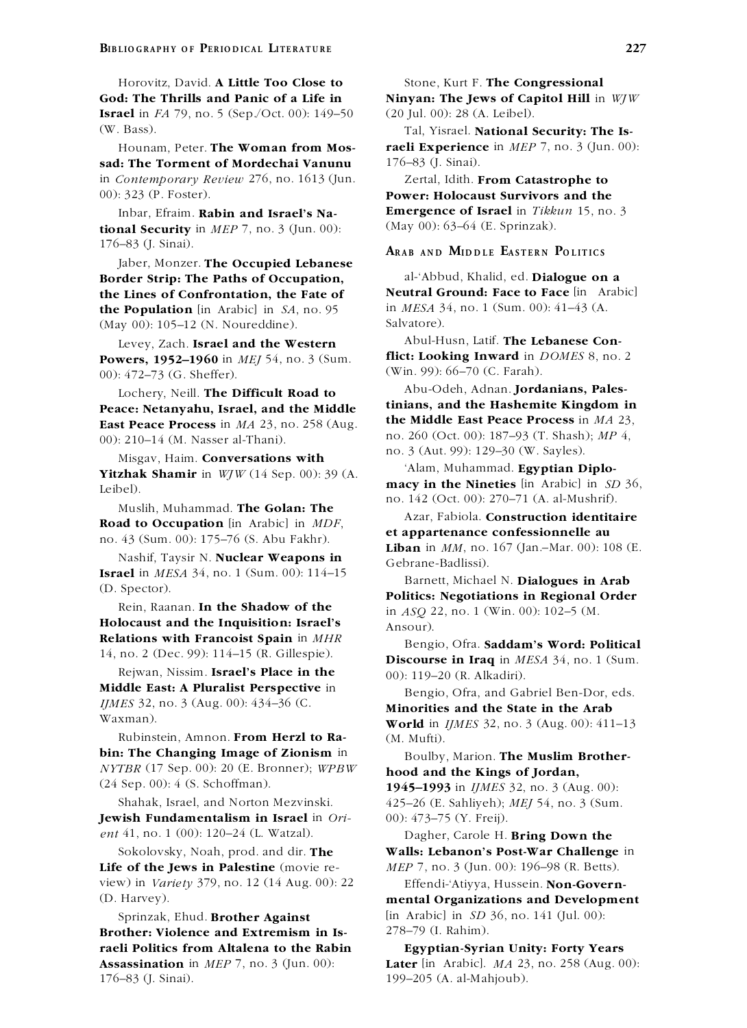**Israel** in *FA* 79, no. 5 (Sep./Oct. 00): 149-50 (20 Jul. 00): 28 (A. Leibel). (W. Bass). Tal, Yisrael. **National Security: The Is-**

**sad: The Torment of Mordechai Vanunu** 176–83 (J. Sinai). in *Contemporary Review* 276, no. 1613 (Jun. Zertal, Idith. **From Catastrophe to** 00): 323 (P. Foster).

 $\textbf{tional Security}$  in *MEP* 7, no. 3 (Jun. 00): 176-83 (J. Sinai). **ARAB AND MIDDLE EASTERN POLITICS** 

Jaber, Monzer. **The Occupied Lebanese Border Strip: The Paths of Occupation,** al-'Abbud, Khalid, ed. **Dialogue on a the Population** [in Arabic] in *SA*, no. 95 (May 00): 105–12 (N. Noureddine). Salvatore).

**Powers, 1952–1960** in *MEJ* 54, no. 3 (Sum. **thict: Looking Inward** in *L* 00. 472–73 (G, Sheffer) (Win. 99): 66–70 (C, Farah). 00): 472-73 (G. Sheffer).

**Peace: Netanyahu, Israel, and the Middle tinians, and the Hashemite Kingdom in Peace Process** in *MA* 23, no. 258 (Aug. **the Middle East Peace Process** in *MA* 23,

**Road to Occupation** [in Arabic] in *MDF*, **et appartenance confessionnelle au**<br>no. 43 (Sum. 00): 175–76 (S. Abu Fakhr). **et appartenance confessionnelle au** 

Nashif, Taysir N. **Nuclear Weapons in**<br> **Israel** in *MESA* 34, no. 1 (Sum. 00): 114–15

Rein, Raanan. **In the Shadow of the** in  $ASQ$  22, no. 1 (Win. 00): 102–5 (M.<br>**Holocaust and the Inquisition: Israel's** Ansour) **Holocaust and the Inquisition: Israel's**<br> **Relations with Francoist Spain** in *MHR* Bengio, Ofra. **Saddam's Word: Political**<br>
14, no. 2 (Dec. 99): 114–15 (R. Gillespie).

Rejwan, Nissim. **Israel's Place in the**  $(00)$ : 119–20 (R. Alkadiri).<br>**Middle East: A Pluralist Perspective** in Bengio Ofra and Gal *IJMES* 32, no. 3 (Aug. 00): 434–36 (C. **Minorities and the State in the Arab**<br>Waxman). **World** in *IMES* 32, no. 3 (Aug. 00): 61.

Rubinstein, Amnon. **From Herzl to Ra-** (M. Mufti). **bin: The Changing Image of Zionism** in Boulby, Marion. **The Muslim Brother-***NYTBR* (17 Sep. 00): 20 (E. Bronner); *WPBW* **hood and the Kings of Jordan,** (24 Sep. 00): 4 (S. Schoffman). **1945–1993** in *IJMES* 32, no. 3 (Aug. 00):

**Jewish Fundamentalism in Israel** in *Ori-* 00): 473–75 (Y. Freij). *ent* 41, no. 1 (00): 120–24 (L. Watzal). Dagher, Carole H. **Bring Down the**

**Life of the Jews in Palestine** (movie re- *MEP* 7, no. 3 (Jun. 00): 196–98 (R. Betts). view) in *Variety* 379, no. 12 (14 Aug. 00): 22 Effendi-'Atiyya, Hussein. **Non-Govern-** (D. Harvey). **mental Organizations and Development**

**Brother: Violence and Extremism in Israeli Politics from Altalena to the Rabin Egyptian-Syrian Unity: Forty Years** 176–83 (J. Sinai). 199–205 (A. al-Mahjoub).

Horovitz, David. **A Little Too Close to** Stone, Kurt F. **The Congressional God: The Thrills and Panic of a Life in Ninyan: The Jews of Capitol Hill** in *WJW*

Hounam, Peter. **The Woman from Mos- raeli Experience** in *MEP* 7, no. 3 (Jun. 00):

00): 323 (P. Foster). **Power: Holocaust Survivors and the** Inbar, Efraim. **Rabin and Israel's Na- Emergence of Israel** in *Tikkun* 15, no. 3<br> **nal Security** in *MFP* 7, no. 3 (Jun. 00). (May 00): 63–64 (E. Sprinzak).

**the Lines of Confrontation, the Fate of Neutral Ground: Face to Face** [in Arabic] **the Population** [in Arabic] **in**  $SA$  no 95 **in**  $MESA$  34, no. 1 (Sum. 00): 41–43 (A.

Levey, Zach. **Israel and the Western** Abul-Husn, Latif. **The Lebanese Con-**<br>**ISRNATE:** Abul-Husn, Latif. **The Lebanese Con-**<br>**ISRNATE:** Looking Inward in *DOMES* 8, no. 2

Abu-Odeh, Adnan. **Jordanians, Pales-** Lochery, Neill. **The Difficult Road to East Peace Process** in  $MA$  23, no. 258 (Aug.<br>
00): 210–14 (M. Nasser al-Thani).<br>
Misgav, Haim. **Conversations with**<br>
Misgav, Haim. **Conversations with**<br>
Misgav, Haim. **Conversations with**<br>
Misgav, Haim. **Conversations wi** 

**Yitzhak Shamir** in  $WJW$  (14 Sep. 00): 39 (A.<br>Leibel).<br>Muslih, Muhammad. **The Golan: The**<br>Muslih, Muhammad. **The Golan: The**<br>Muslih, Muhammad. **The Golan: The**<br>Azar, Fabiola. **Construction identitaire** 

**Liban** in *MM*, no. 167 (Jan.–Mar. 00): 108 (E.

**ISTAEL IN** *MESA* **34, no. 1 (Sum. 00): 114–15 Barnett, Michael N. <b>Dialogues in Arab** (D. Spector). **Politics: Negotiations in Regional Order**<br>Rein. Raanan. **In the Shadow of the**  $\frac{1}{2}$  at  $\frac{2000000000000000000000000$ 

**Discourse in Iraq** in *MESA* 34, no. 1 (Sum.

**Middle East: A Pluralist Perspective** in Bengio, Ofra, and Gabriel Ben-Dor, eds.<br>*IJMES* 32, no. 3 (Aug. 00): 434–36 (C. **Minorities and the State in the Arab** 

**World** in *IJMES* 32, no. 3 (Aug. 00): 411–13

Shahak, Israel, and Norton Mezvinski. 425–26 (E. Sahliyeh); *MEJ* 54, no. 3 (Sum.

Sokolovsky, Noah, prod. and dir. **The Walls: Lebanon's Post-War Challenge** in

Sprinzak, Ehud. **Brother Against** [in Arabic] in *SD* 36, no. 141 (Jul. 00):<br> **Arther:** Violence and Extremism in Is. 278–79 (I. Rahim).

**Assassination** in *MEP* 7, no. 3 (Jun. 00): **Later** [in Arabic]. *MA* 23, no. 258 (Aug. 00):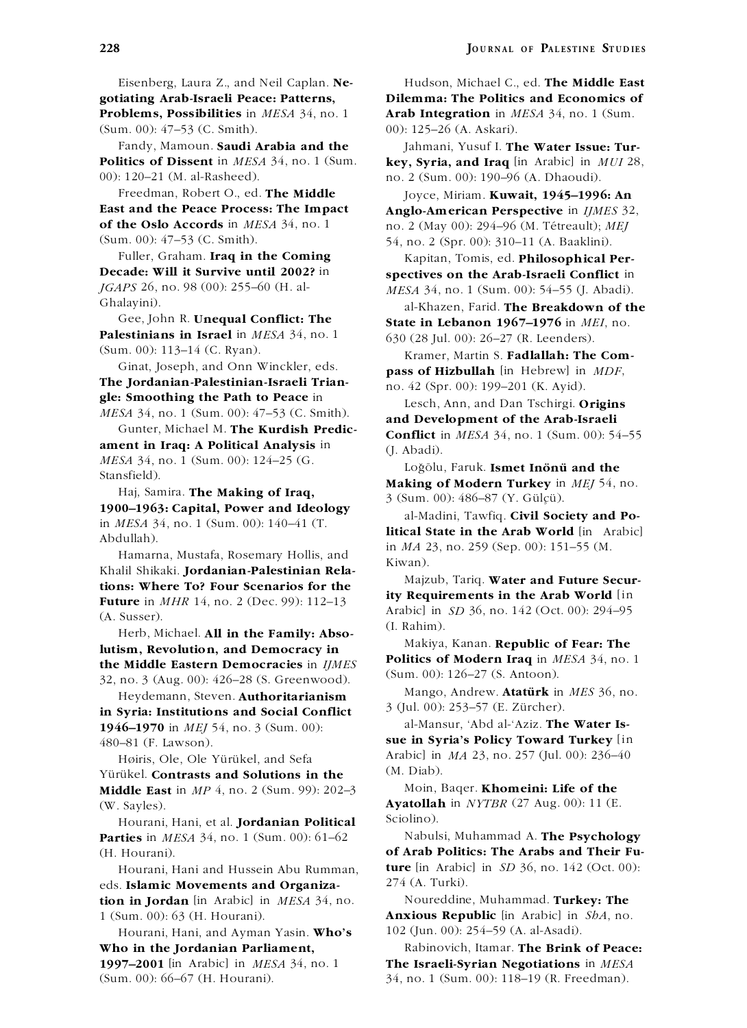Eisenberg, Laura Z., and Neil Caplan. **Ne-** Hudson, Michael C., ed. **The Middle East Problems, Possibilities** in *MESA* 34, no. 1 **Arab Integration** in *MESA* 34, no. 1 (Sum. (Sum. 00): 47–53 (C. Smith). 00): 125–26 (A. Askari).

00): 120–21 (M. al-Rasheed). no. 2 (Sum. 00): 190–96 (A. Dhaoudi).

Freedman, Robert O., ed. **The Middle** Joyce, Miriam. **Kuwait, 1945–1996: An**<br>**East and the Peace Process: The Impact** Anglo-American Perspective in *HMES* 32 (Sum. 00): 47–53 (C. Smith). 54, no. 2 (Spr. 00): 310–11 (A. Baaklini).

Fuller, Graham. **Iraq in the Coming** Kapitan, Tomis, ed. **Philosophical Per-**<br> **Decade:** Will it Survive until 2002? in **Spectives on the Arab Israeli Conflict** in **Decade: Will it Survive until 2002?** in **spectives on the Arab-Israeli Conflict** in *IGAPS* 26, no. 98 (00): 255–60 (H. al-<br>*MFSA* 34 no. 1 (Sum 00): 54–55 (Labadi) *JGAPS* 26, no. 98 (00): 255–60 (H. al-<br> *MESA* 34, no. 1 (Sum. 00): 54–55 (J. Abadi).<br>
<sup>21</sup>Khazen, Earid **The Breakdown of the** 

Gee, John R. **Unequal Conflict: The State in Lebanon 1967–1976** in *MEI*, no.<br> **Palestinians in Israel** in *MESA* 34, no. 1 630 (28 Jul. 00): 26–27 (R. Leenders).<br> **Example Martin S. Eadlallab: The Com**<br> **Example Martin** 

(Sum. 00): 113–14 (C. Ryan).<br>
Ginat, Joseph, and Onn Winckler, eds.<br> **The Jordanian-Palestinian-Israeli Trian-**<br> **Example: Smoothing the Path to Peace** in<br> *MESA* 34, no. 1 (Sum. 00): 47–53 (C. Smith).<br> **Example: Smoothin** 

*MESA* 34, no. 1 (Sum. 00):  $124-25$  (G.<br>
Stansfield).<br>
Haj, Samira. **The Making of Iraq,**<br> **Making of Modern Turkey** in *MEJ* 54, no.<br> **Making of Modern Turkey** in *MEJ* 54, no.<br> **Making of Modern Turkey** in *MEJ* 54, no

Majzub, Tariq. **Water and Future Secur- tions: Where To? Four Scenarios for the**

lutism, Revolution, and Democracy in **the Middle Eastern Democracies** in *IJMES* 32, no. 3 (Aug. 00):  $426-28$  (S. Greenwood). (Sum. 00):  $126-27$  (S. Antoon).<br>32, no. 3 (Aug. 00):  $426-28$  (S. Greenwood). Mango, Andrew. **Atatürk** in *MES* 36, no.

Heydemann, Steven. **Authoritarianism in Syria: Institutions and Social Conflict 1946–1970** in *MEJ* 54, no. 3 (Sum. 00): al-Mansur, 'Abd al-'Aziz. **The Water Is-**

Yürükel. **Contrasts and Solutions in the** <sup>(M. Diab).</sup><br>**Middle East** in *MP* 4, no. 2 (Sum. 99): 202–3 Moin, Bager. **Khomeini: Life of the Middle East** in  $MP_4$ , no. 2 (Sum. 99): 202–3

Hourani, Hani, et al. **Jordanian Political Parties** in *MESA* 34, no. 1 (Sum. 00): 61–62 Nabulsi, Muhammad A. **The Psychology**

Hourani, Hani and Hussein Abu Rumman, **ture** lin Arabic<br>**Example Movements and Organiza.** 274 (A. Turki). eds. Islamic Movements and Organiza**tion in Jordan** [in Arabic] in *MESA* 34, no. Noureddine, Muhammad. **Turkey: The**

Hourani, Hani, and Ayman Yasin. **Who's** 102 (Jun. 00): 254–59 (A. al-Asadi). **Who in the Jordanian Parliament,** Rabinovich, Itamar. **The Brink of Peace: 1997–2001** [in Arabic] in *MESA* 34, no. 1 **The Israeli-Syrian Negotiations** in *MESA* (Sum. 00): 66–67 (H. Hourani). 34, no. 1 (Sum. 00): 118–19 (R. Freedman).

**gotiating Arab-Israeli Peace: Patterns, Dilemma: The Politics and Economics of**

Fandy, Mamoun. **Saudi Arabia and the** Jahmani, Yusuf I. **The Water Issue: Tur-Politics of Dissent** in *MESA* 34, no. 1 (Sum. **key, Syria, and Iraq** [in Arabic] in *MUI* 28,

**East and the Peace Process: The Impact Anglo-American Perspective** in *IJMES* 32, **of the Oslo Accords** in *MESA* 34, no. 1 **p** 2 (May 00): 294–96 (M. Tétreault): *MFI* **of the Oslo Accords** in *MESA* 34, no. 1 no. 2 (May 00): 294–96 (M. Tetreault); ´ *MEJ*

al-Khazen, Farid. **The Breakdown of the**<br>Gee, John R. **Unequal Conflict: The** State in Jebanon 1967–1976 in MEL no

MESA 34, 10. 1 (Sum. 00): 4/-55 (C. Simin).<br>
Gunter, Michael M. **The Kurdish Predic-**<br> **Conflict** in *MESA* 34, no. 1 (Sum. 00): 54–55<br> *Conflict* in *MESA* 34, no. 1 (Sum. 00): 54–55<br> *Conflict* in *MESA* 34, no. 1 (Sum.

Abdullah).<br>
Hamarna, Mustafa, Rosemary Hollis, and  $\frac{\text{in } M_A \text{ and } M_A \text{ is not 1}}{\text{in } M_A \text{ and } M_A \text{ is not 1}}$ <br>
Kiwan).

**ity Requirements in the Arab World** [in **Future** in *MHR* 14, no. 2 (Dec. 99): 112–13<br>
(A. Susser). Arabic] in *SD* 36, no. 142 (Oct. 00): 294–95<br>
Herb, Michael. **All in the Family: Abso-** (I. Rahim). Makiya, Kanan. **Republic of Fear: The** 

**Politics of Modern Iraq** in *MESA* 34, no. 1

3 (Jul. 00): 253–57 (E. Zurcher). ¨

480–81 (F. Lawson). **sue in Syria's Policy Toward Turkey** [in Høiris, Ole, Ole Yürükel, and Sefa $\frac{\text{Arabic}}{\text{m. Djab}}$ . (M. Diab).

(W. Sayles). **Ayatollah** in *NYTBR* (27 Aug. 00): 11 (E. Hourani Hapi et al. **Iondanian Political** Sciolino).

(H. Hourani). **of Arab Politics: The Arabs and Their Fu-**<br>Hourani Hani and Hussein Abu Rumman **ture** [in Arabic] in *SD* 36, no. 142 (Oct. 00):

1 (Sum. 00): 63 (H. Hourani). **Anxious Republic** [in Arabic] in *ShA*, no.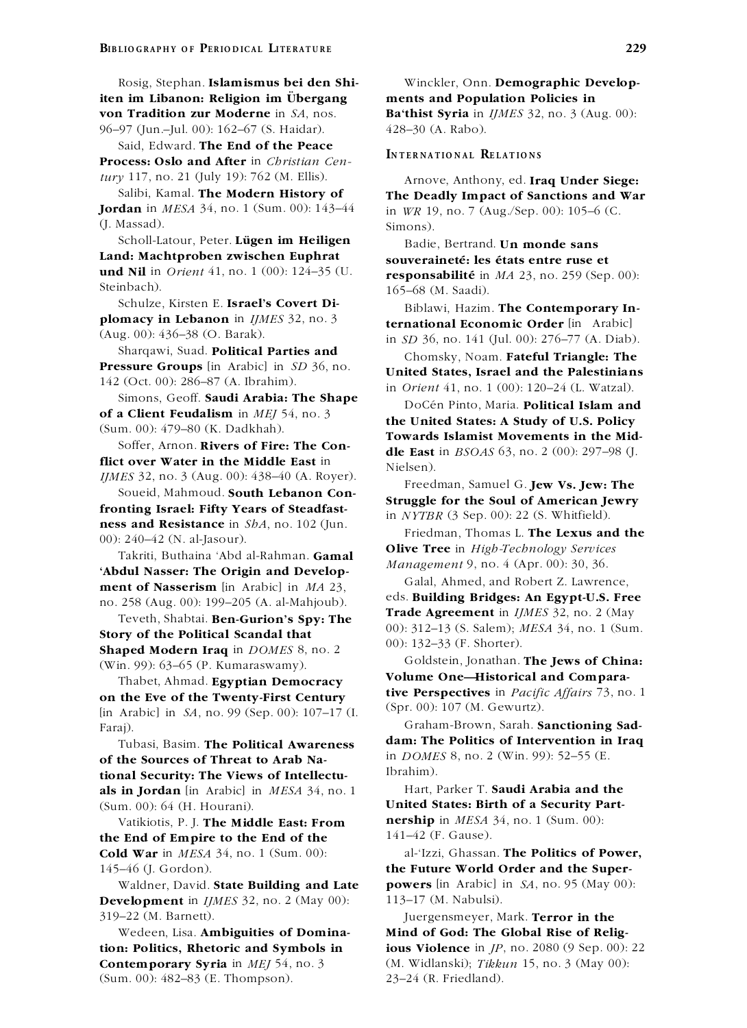**iten im Libanon: Religion im Ubergan ¨ g ments and Population Policies in von Tradition zur Moderne** in *SA*, nos. **Ba'thist Syria** in *IJMES* 32, no. 3 (Aug. 00): 96–97 (Jun.–Jul. 00): 162–67 (S. Haidar). 428–30 (A. Rabo).

Said, Edward. The End of the Peace<br>Process: Oslo and After in *Christian Cen*-<br>INTERNATIONAL RELATIONS

(J. Massad). Simons). Simons). Scholl-Latour, Peter. Lügen im Heiligen Badie

Scholl-Latour, Peter. **Lügen im Heiligen**<br> **Eurald: Machtproben zwischen Euphrat souveraineté: les états entre ruse et**<br> **und Nil** in *Orient* 41, no. 1 (00): 124–35 (U.<br> **responsabilité** in *MA* 23, no. 250 (Sen

Schulze, Kirsten E. **Israel's Covert Di-** Biblawi, Hazim. **The Contemporary Inplomacy in Lebanon** in *IJMES* 32, no. 3

Sharqawi, Suad. **Political Parties and** Chomsky, Noam. **Fateful Triangle: The**<br>**Pressure Groups** [in Arabic] in SD 36, no. **Instead States Jones and the Pelestinian** 

**of a Client Feudalism** in *MEJ* 54, no. 3

Soffer, Arnon. **Rivers of Fire: The Con-**<br> **dle East** in *BSOAS* 63, no. 2 (00): 297–98 (J. *IMES* 32, no. 3 (Aug. 00): 438–40 (A. Royer).

*IJMES* 32, no. 3 (Aug. 00): 438–40 (A. Royer).<br>
Soueid, Mahmoud. **South Lebanon Con-**<br> **Struggle for the Soul of American Jewry**<br> **Freedman, Samuel G. Jew Vs. Jew: The<br>
fronting Israel: Fifty Years of Steadfast-**<br> **Strug** 

**Abdul Nasser: The Origin and Develop-**<br> **Calal, Ahmed, and Robert Z. Lawrence,** 

Teveth, Shabtai. **Ben-Gurion's Spy: The Shaped Modern Iraq** in *DOMES* 8, no. 2<br>(Win 00): 63–65 (B. Kumarasmany) **Show Goldstein**, Jonathan. **The Jews of China:** 

**Volume One—Historical and Compara-** Thabet, Ahmad. **Egyptian Democracy**  $\left[ \text{in Arabic} \right]$  in *SA*, no. 99 (Sep. 00): 107–17 (I. Faraj). Graham-Brown, Sarah. **Sanctioning Sad-**

of the Sources of Threat to Arab Na-<br> **Example Security.** The Views of Intellecty [brahim]. tional Security: The Views of Intellectu**als in Jordan** [in Arabic] in *MESA* 34, no. 1 Hart, Parker T. **Saudi Arabia and the** (Sum. 00): 64 (H. Hourani). **United States: Birth of a Security Part-**

the End of Empire to the End of the **Cold War** in *MESA* 34, no. 1 (Sum. 00): al-'Izzi, Ghassan. **The Politics of Power,**

**Development** in *IJMES* 32, no. 2 (May 00): 113-17 (M. Nabulsi). 319–22 (M. Barnett). Juergensmeyer, Mark. **Terror in the**

**Contemporary Syria** in *MEJ* 54, no. 3 (M. Widlanski); *Tikkun* 15, no. 3 (May 00): (Sum. 00): 482–83 (E. Thompson). 23–24 (R. Friedland).

Rosig, Stephan. **Islamismus bei den Shi-** Winckler, Onn. **Demographic Develop-**

*tury* 117, no. 21 (July 19): 762 (M. Ellis). Arnove, Anthony, ed. **Iraq Under Siege:**<br>Salibi, Kamal. **The Modern History of** The Deadly Impact of Sanctions and Wa Salibi, Kamal. **The Modern History of The Deadly Impact of Sanctions and War Jordan** in *MESA* 34, no. 1 (Sum. 00): 143–44 in *WR* 19 no. 7 (Aug /Sep. 00): 105–6 (C **Jordan** in *MESA* 34, no. 1 (Sum. 00): 143–44 in *WR* 19, no. 7 (Aug./Sep. 00): 105–6 (C.

**und Nil** in *Orient* 41, no. 1 (00): 124–35 (U. **responsabilité** in *MA* 23, no. 259 (Sep. 00):<br>Steinbach).  $165, 69$  (M Seedi) 165–68 (M. Saadi).

**ternational Economic Order** [in Arabic] (Aug. 00): 436–38 (O. Barak). in *SD* 36, no. 141 (Jul. 00): 276–77 (A. Diab).<br>Sharqawi, Suad. **Political Parties and** champles Noam **Eateful Triangle: The** 

**Pressure Groups** [in Arabic] in *SD* 36, no. **United States, Israel and the Palestinians** in *Orient* 41, no. 1 (00): 120–24 (L. Watzal). Simons, Geoff. **Saudi Arabia: The Shape** 

BoCén Pinto, Maria. **Political Islam and the United States: A Study of U.S. Policy** (Sum. 00): 479–80 (K. Dadkhah). **Towards Islamist Movements in the Mid-**<br>
Soffer, Arnon, Rivers of Fire: The Con-

00: 240–42 (N. al-Jasour).<br>
Takriti, Buthaina 'Abd al-Rahman. **Gamal**<br> **Olive Tree** in *High-Technology Services*<br> *Management* 9, no. 4 (Apr. 00): 30, 36.

ment of Nasserism [in Arabic] in *MA* 23,<br>
no. 258 (Aug. 00): 199–205 (A. al-Mahjoub). eds. **Building Bridges: An Egypt-U.S. Free**<br>
Trade Agreement in *IJMES* 32, no. 2 (May of the Political Scandal that<br> **Story of the Political Scandal that**<br> **Story of the Political Scandal that**<br> **Story of the Political Scandal that**<br> **Story of the Political Scandal that**<br> **Story of the Political Scandal tha** 

Goldstein, Jonathan. **The Jews of China:** (Win. 99): 63–65 (P. Kumaraswamy). **tive Perspectives** in *Pacific Affairs* 73, no. 1<br>**(b)** Archiel in *SA*, no. 00 (Sep. 00), 107, 17 (I) (Spr. 00); 107 (M. Gewurtz).

Tubasi, Basim. **The Political Awareness** dam: **The Politics of Intervention in Iraq the Sources of Threat to Arab** Na<sub>c</sub> in *DOMES* 8, no. 2 (Win. 99): 52–55 (E.

Vatikiotis, P. J. **The Middle East: From nership** in *MESA* 34, no. 1 (Sum. 00):<br>Find of Empire to the End of the  $141-42$  (F. Gause).

145–46 (J. Gordon). **the Future World Order and the Super-**Waldner, David. **State Building and Late powers** [in Arabic] in *SA*, no. 95 (May 00):

Wedeen, Lisa. **Ambiguities of Domina- Mind of God: The Global Rise of Religtion: Politics, Rhetoric and Symbols in ious Violence** in *JP*, no. 2080 (9 Sep. 00): 22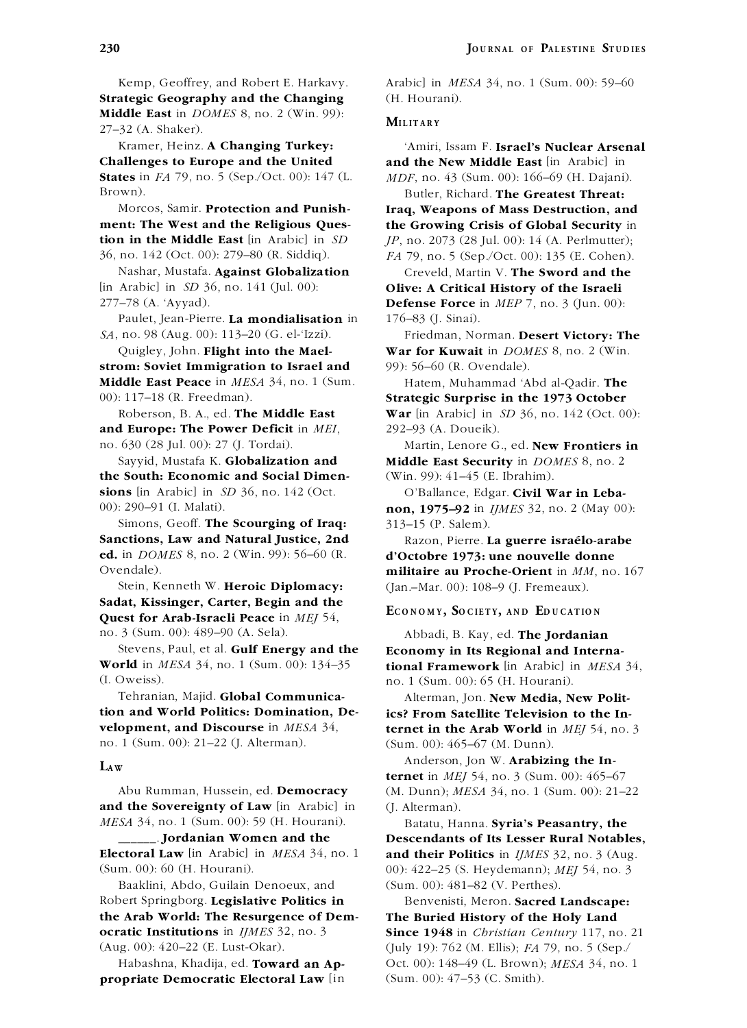Kemp, Geoffrey, and Robert E. Harkavy. Arabic] in *MESA* 34, no. 1 (Sum. 00): 59–60 **Strategic Geography and the Changing** (H. Hourani). **Middle East** in *DOMES* 8, no. 2 (Win. 99): **MILITARY** 27–32 (A. Shaker).

**Challenges to Europe and the United and the New Middle East** [in Arabic] in **States** in *FA* 79, no. 5 (Sep./Oct. 00): 147 (L. *MDF*, no. 43 (Sum. 00): 166–69 (H. Dajani). Brown). Butler, Richard. **The Greatest Threat:**

**ment: The West and the Religious Ques- the Growing Crisis of Global Security** in **tion in the Middle East**  $\begin{bmatrix} \text{in } \text{Arabic} \end{bmatrix}$  in *SD JP*, no. 2073 (28 Jul. 00): 14 (A. Perlmutter);

Nashar, Mustafa. **Against Globalization** Creveld, Martin V. **The Sword and the** [in Arabic] in *SD* 36, no. 141 (Jul. 00): **Olive: A Critical History of the Israeli**

Paulet, Jean-Pierre. **La mondialisation** in 176–83 (J. Sinai). *SA*, no. 98 (Aug. 00): 113–20 (G. el-'Izzi). Friedman, Norman. **Desert Victory: The**

**strom: Soviet Immigration to Israel and** 99): 56–60 (R. Ovendale). **Middle East Peace** in *MESA* 34, no. 1 (Sum. Hatem, Muhammad 'Abd al-Qadir. **The** 00): 117–18 (R. Freedman). **Strategic Surprise in the 1973 October**

**and Europe: The Power Deficit** in *MEI*, 292–93 (A. Doueik).

**the South: Economic and Social Dimen-** (Win. 99): 41–45 (E. Ibrahim). **sions** [in Arabic] in *SD* 36, no. 142 (Oct. O'Ballance, Edgar. **Civil War in Leba-**

Simons, Geoff. **The Scourging of Iraq:** 313–15 (P. Salem). **Sanctions, Law and Natural Justice, 2nd** Razon, Pierre. **La guerre israelo-arabe ´ ed.** in *DOMES* 8, no. 2 (Win. 99): 56–60 (R. **d'Octobre 1973: une nouvelle donne**

Sadat, Kissinger, Carter, Begin and the<br>Quest for Arab-Israeli Peace in MEJ 54,<br>RECONOMY, SOCIETY, AND EDUCATION no. 3 (Sum. 00): 489–90 (A. Sela). Abbadi, B. Kay, ed. **The Jordanian**

Stevens, Paul, et al. **Gulf Energy and the Economy in Its Regional and Interna-<br>
<b>World** in *MESA* 34, no. 1 (Sum. 00): 134–35 **tional Framework** [in Arabic] in *MESA* (I. Oweiss). no. 1 (Sum. 00): 65 (H. Hourani).

Tehranian, Majid. **Global Communica-** Alterman, Jon. **New Media, New Polittion and World Politics: Domination, De- ics? From Satellite Television to the In-**<br> **velopment, and Discourse** in MESA 34, **ternet in the Arab World** in MEI 54, no. no. 1 (Sum. 00): 21–22 (J. Alterman). (Sum. 00): 465–67 (M. Dunn).

**and the Sovereignty of Law** [in Arabic] in (J. Alterman). *MESA* 34, no. 1 (Sum. 00): 59 (H. Hourani). Batatu, Hanna. **Syria's Peasantry, the** 

**Electoral Law** [in Arabic] in *MESA* 34, no. 1 **and their Politics** in *IJMES* 32, no. 3 (Aug. (Sum. 00): 60 (H. Hourani). 00): 422–25 (S. Heydemann); *MEJ* 54, no. 3

Baaklini, Abdo, Guilain Denoeux, and (Sum. 00): 481–82 (V. Perthes). Robert Springborg. **Legislative Politics in** Benvenisti, Meron. **Sacred Landscape: the Arab World: The Resurgence of Dem- The Buried History of the Holy Land ocratic Institutions** in *IJMES* 32, no. 3 **Since 1948** in *Christian Century* 117, no. 21 (Aug. 00): 420–22 (E. Lust-Okar). (July 19): 762 (M. Ellis); *FA* 79, no. 5 (Sep./

**propriate Democratic Electoral Law** [in (Sum. 00): 47–53 (C. Smith).

Kramer, Heinz. **A Changing Turkey:** 'Amiri, Issam F. **Israel's Nuclear Arsenal**

Morcos, Samir. **Protection and Punish- Iraq, Weapons of Mass Destruction, and** 36, no. 142 (Oct. 00): 279–80 (R. Siddiq). *FA* 79, no. 5 (Sep./Oct. 00): 135 (E. Cohen).

277–78 (A. 'Ayyad). **Defense Force** in *MEP* 7, no. 3 (Jun. 00):

Quigley, John. **Flight into the Mael- War for Kuwait** in *DOMES* 8, no. 2 (Win.

Roberson, B. A., ed. **The Middle East War** [in Arabic] in *SD* 36, no. 142 (Oct. 00):

no. 630 (28 Jul. 00): 27 (J. Tordai). Martin, Lenore G., ed. **New Frontiers in** Sayyid, Mustafa K. **Globalization and Middle East Security** in *DOMES* 8, no. 2

00): 290–91 (I. Malati). **non, 1975–92** in *IJMES* 32, no. 2 (May 00):

Ovendale). **militaire au Proche-Orient** in *MM*, no. 167 Stein, Kenneth W. **Heroic Diplomacy:** (Jan.–Mar. 00): 108–9 (J. Fremeaux).

**tional Framework** [in Arabic] in *MESA* 34,

**ternet in the Arab World** in *MEI* 54, no. 3

Anderson, Jon W. **Arabizing the In- L<sup>A</sup> <sup>W</sup> ternet** in *MEJ* 54, no. 3 (Sum. 00): 465–67 Abu Rumman, Hussein, ed. **Democracy** (M. Dunn); *MESA* 34, no. 1 (Sum. 00): 21–22

\_\_\_\_\_\_. **Jordanian Women and the Descendants of Its Lesser Rural Notables,**

Habashna, Khadija, ed. **Toward an Ap-** Oct. 00): 148–49 (L. Brown); *MESA* 34, no. 1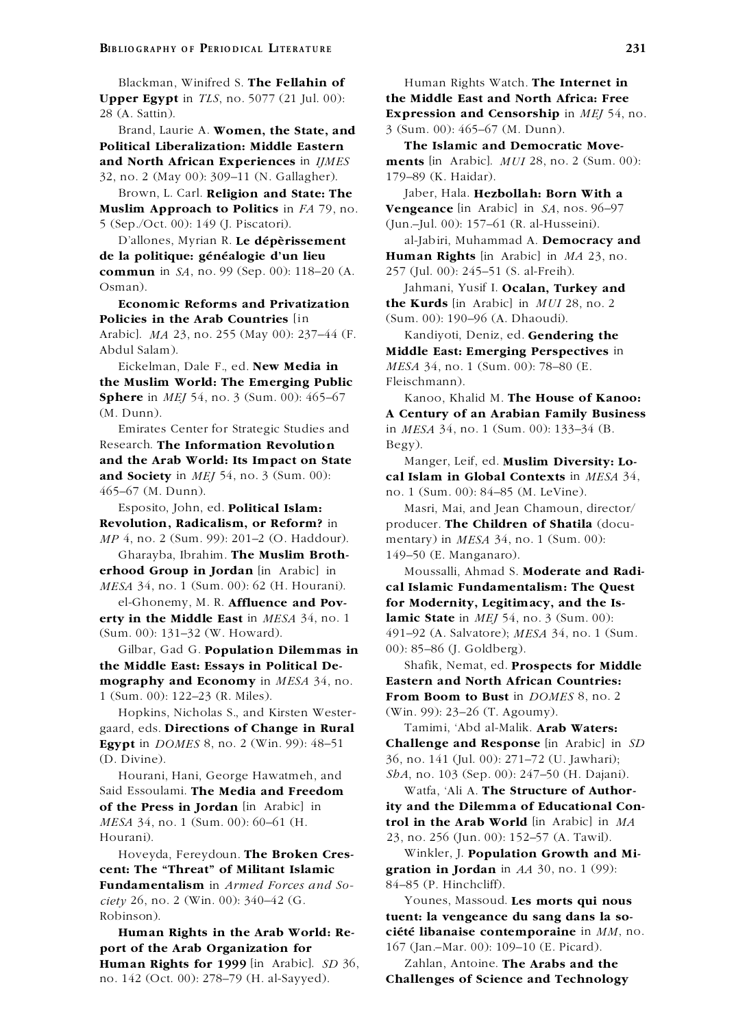**Upper Egypt** in *TLS*, no. 5077 (21 Jul. 00): **the Middle East and North Africa: Free**

Brand, Laurie A. **Women, the State, and** 3 (Sum. 00): 465–67 (M. Dunn). **Political Liberalization: Middle Eastern The Islamic and Democratic Move-**32, no. 2 (May 00): 309–11 (N. Gallagher). 179–89 (K. Haidar).

Brown, L. Carl. **Religion and State: The** Jaber, Hala. **Hezbollah: Born With a Muslim Approach to Politics** in *FA* 79, no. **Vengeance** [in Arabic] in *SA*, nos. 96–97 5 (Sep./Oct. 00): 149 (J. Piscatori). (Jun.–Jul. 00): 157–61 (R. al-Husseini).

D'allones, Myrian R. Le dépèrissement al-Jabiri, Muhammad A. Democracy and **de la politique: généalogie d'un lieu Human Rights** [in Arabic] in *MA* 23, no. **commun** in *SA*, no. 99 (Sep. 00): 118–20 (A. 257 (Jul. 00): 245–51 (S. al-Freih).

**Economic Reforms and Privatization Policies in the Arab Countries** [in (Sum. 00): 190–96 (A. Dhaoudi). Arabic]. *MA* 23, no. 255 (May 00): 237–44 (F. Kandiyoti, Deniz, ed. **Gendering the**

Eickelman, Dale F., ed. **New Media in** *MESA* 34, no. 1 (Sum. 00): 78–80 (E. **the Muslim World: The Emerging Public** Fleischmann). **Sphere** in *MEI* 54, no. 3 (Sum. 00): 465–67 Kanoo, Khalid M. **The House of Kanoo:** 

Research. **The Information Revolution** Begy). **and the Arab World: Its Impact on State** Manger, Leif, ed. **Muslim Diversity: Lo-**465–67 (M. Dunn). no. 1 (Sum. 00): 84–85 (M. LeVine).

*MP* 4, no. 2 (Sum. 99): 201–2 (O. Haddour). mentary) in *MESA* 34, no. 1 (Sum. 00):

Gharayba, Ibrahim. **The Muslim Broth-** 149–50 (E. Manganaro). **erhood Group in Jordan** [in Arabic] in Moussalli, Ahmad S. Moderate and Radi-

**erty in the Middle East** in *MESA* 34, no. 1 **lamic State** in *MEJ* 54, no. 3 (Sum. 00):

Gilbar, Gad G. **Population Dilemmas in** 00): 85–86 (J. Goldberg). **the Middle East: Essays in Political De-** Shafik, Nemat, ed. **Prospects for Middle mography and Economy** in *MESA* 34, no. **Eastern and North African Countries:** 1 (Sum. 00): 122–23 (R. Miles). **From Boom to Bust** in *DOMES* 8, no. 2

Hopkins, Nicholas S., and Kirsten Wester- (Win. 99): 23–26 (T. Agoumy). gaard, eds. **Directions of Change in Rural** Tamimi, 'Abd al-Malik. **Arab Waters:** (D. Divine). 36, no. 141 (Jul. 00): 271–72 (U. Jawhari);

Said Essoulami. **The Media and Freedom** Watfa, 'Ali A. **The Structure of Author-**Hourani). 23, no. 256 (Jun. 00): 152–57 (A. Tawil).

**cent: The "Threat" of Militant Islamic gration in Jordan** in *AA* 30, no. 1 (99): **Fundamentalism** in *Armed Forces and So-* 84–85 (P. Hinchcliff). *ciety* 26, no. 2 (Win. 00): 340–42 (G. Younes, Massoud. **Les morts qui nous** Robinson). **tuent: la vengeance du sang dans la so-**

**port of the Arab Organization for** 167 (Jan.–Mar. 00): 109–10 (E. Picard). **Human Rights for 1999** [in Arabic]. *SD* 36, Zahlan, Antoine. **The Arabs and the** no. 142 (Oct. 00): 278–79 (H. al-Sayyed). **Challenges of Science and Technology**

Blackman, Winifred S. **The Fellahin of** Human Rights Watch. **The Internet in** 28 (A. Sattin). **Expression and Censorship** in *MEJ* 54, no.

**and North African Experiences** in *IJMES* **ments** [in Arabic]. *MUI* 28, no. 2 (Sum. 00):

Osman). Jahmani, Yusif I. **Ocalan, Turkey and**<br>**Economic Reforms and Privatization the Kurds** [in Arabic] in *MUI* 28, no. 2

Abdul Salam). **Middle East: Emerging Perspectives** in

(M. Dunn). **A Century of an Arabian Family Business** Emirates Center for Strategic Studies and in *MESA* 34, no. 1 (Sum. 00): 133–34 (B.

**and Society** in *MEJ* 54, no. 3 (Sum. 00): **cal Islam in Global Contexts** in *MESA* 34,

Esposito, John, ed. **Political Islam:** Masri, Mai, and Jean Chamoun, director/ **Revolution, Radicalism, or Reform?** in producer. **The Children of Shatila** (docu-

*MESA* 34, no. 1 (Sum. 00): 62 (H. Hourani). **cal Islamic Fundamentalism: The Quest** el-Ghonemy, M. R. **Affluence and Pov- for Modernity, Legitimacy, and the Is-**(Sum. 00): 131–32 (W. Howard). 491–92 (A. Salvatore); *MESA* 34, no. 1 (Sum.

**Egypt** in *DOMES* 8, no. 2 (Win. 99): 48–51 **Challenge and Response** [in Arabic] in *SD* Hourani, Hani, George Hawatmeh, and *ShA*, no. 103 (Sep. 00): 247–50 (H. Dajani).

**of the Press in Jordan** [in Arabic] in **ity and the Dilemma of Educational Con-***MESA* 34, no. 1 (Sum. 00): 60–61 (H. **trol in the Arab World** [in Arabic] in *MA*

Hoveyda, Fereydoun. **The Broken Cres-** Winkler, J. **Population Growth and Mi-**

**Human Rights in the Arab World: Re- cieté libanaise contemporaine** in  $MM$ , no.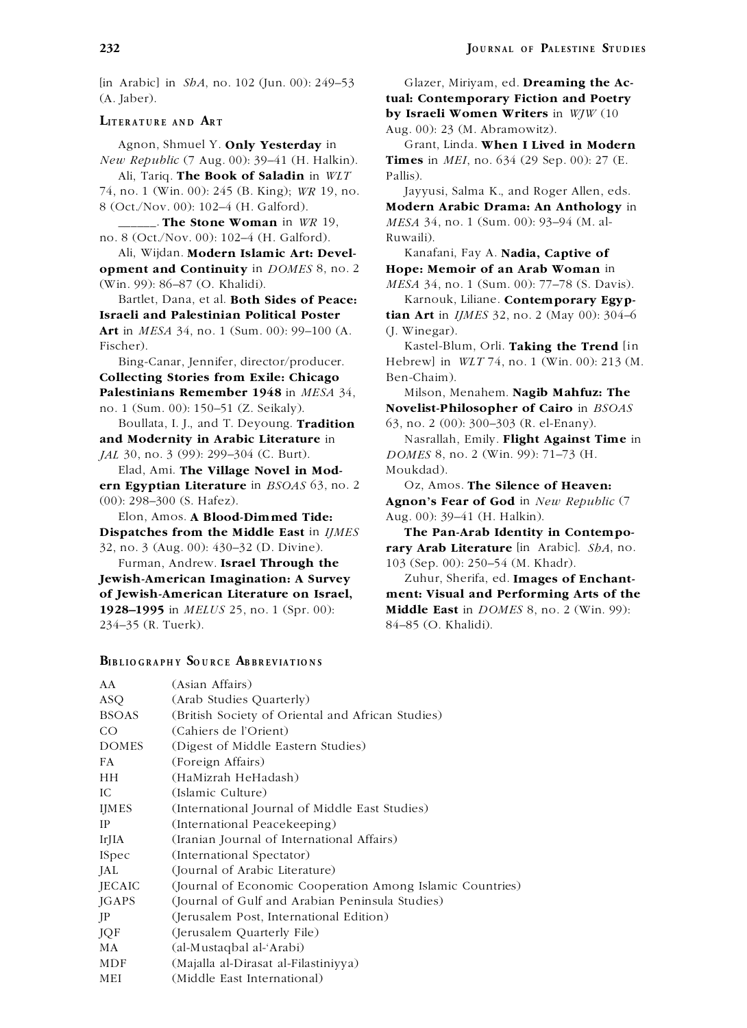[in Arabic] in *ShA*, no. 102 (Jun. 00): 249–53 Glazer, Miriyam, ed. **Dreaming the Ac-** (A. Jaber). **tual: Contemporary Fiction and Poetry**

Agnon, Shmuel Y. **Only Yesterday** in Grant, Linda. **When I Lived in Modern** *New Republic* (7 Aug. 00): 39–41 (H. Halkin). **Times** in *MEI*, no. 634 (29 Sep. 00): 27 (E.

Ali, Tariq. **The Book of Saladin** in *WLT* Pallis). 74, no. 1 (Win. 00): 245 (B. King); *WR* 19, no. Jayyusi, Salma K., and Roger Allen, eds. 8 (Oct./Nov. 00): 102–4 (H. Galford). **Modern Arabic Drama: An Anthology** in

no. 8 (Oct./Nov. 00): 102–4 (H. Galford). Ruwaili).

**opment and Continuity** in *DOMES* 8, no. 2 **Hope: Memoir of an Arab Woman** in

**Israeli and Palestinian Political Poster tian Art** in *IJMES* 32, no. 2 (May 00): 304–6 **Art** in *MESA* 34, no. 1 (Sum. 00): 99–100 (A. (J. Winegar). Fischer). Kastel-Blum, Orli. **Taking the Trend** [in

**Collecting Stories from Exile: Chicago** Ben-Chaim). **Palestinians Remember 1948** in *MESA* 34, Milson, Menahem. **Nagib Mahfuz: The** no. 1 (Sum. 00): 150–51 (Z. Seikaly). **Novelist-Philosopher of Cairo** in *BSOAS*

Boullata, I. J., and T. Deyoung. **Tradition** 63, no. 2 (00): 300–303 (R. el-Enany).

Elad, Ami. **The Village Novel in Mod-** Moukdad). **ern Egyptian Literature** in *BSOAS* 63, no. 2 Oz, Amos. **The Silence of Heaven:**

Elon, Amos. **A Blood-Dimmed Tide:** Aug. 00): 39–41 (H. Halkin). **Dispatches from the Middle East** in *IJMES* **The Pan-Arab Identity in Contempo-**

Furman, Andrew. **Israel Through the** 103 (Sep. 00): 250–54 (M. Khadr). **Jewish-American Imagination: A Survey** Zuhur, Sherifa, ed. **Images of Enchant of Jewish-American Literature on Israel, ment: Visual and Performing Arts of the 1928–1995** in *MELUS* 25, no. 1 (Spr. 00): **Middle East** in *DOMES* 8, no. 2 (Win. 99): 234–35 (R. Tuerk). 84–85 (O. Khalidi).

## **BIBLIOGRAPHY SOURCE ABBREVIATIONS**

**by Israeli Women Writers** in *WJW* (10 **Aug. 00): 23 (M. Abramowitz).** 

\_\_\_\_\_\_. **The Stone Woman** in *WR* 19, *MESA* 34, no. 1 (Sum. 00): 93–94 (M. al-

Ali, Wijdan. **Modern Islamic Art: Devel-** Kanafani, Fay A. **Nadia, Captive of**

(Win. 99): 86–87 (O. Khalidi). *MESA* 34, no. 1 (Sum. 00): 77–78 (S. Davis). **Bartlet**, Dana. et al. **Both Sides of Peace:** Karnouk. Liliane. **Contemporary Egyp-**Karnouk, Liliane. **Contemporary Egyp-**

Bing-Canar, Jennifer, director/producer. Hebrew] in *WLT* 74, no. 1 (Win. 00): 213 (M.

**and Modernity in Arabic Literature** in Nasrallah, Emily. **Flight Against Time** in *JAL* 30, no. 3 (99): 299–304 (C. Burt). *DOMES* 8, no. 2 (Win. 99): 71–73 (H.

(00): 298–300 (S. Hafez). **Agnon's Fear of God** in *New Republic* (7

32, no. 3 (Aug. 00): 430–32 (D. Divine). **rary Arab Literature** [in Arabic]. *ShA*, no.

| AA            | (Asian Affairs)                                           |
|---------------|-----------------------------------------------------------|
| ASQ           | (Arab Studies Quarterly)                                  |
| <b>BSOAS</b>  | (British Society of Oriental and African Studies)         |
| CO            | (Cahiers de l'Orient)                                     |
| <b>DOMES</b>  | (Digest of Middle Eastern Studies)                        |
| FA            | (Foreign Affairs)                                         |
| HН            | (HaMizrah HeHadash)                                       |
| IC            | (Islamic Culture)                                         |
| <b>IJMES</b>  | (International Journal of Middle East Studies)            |
| IP            | (International Peacekeeping)                              |
| IrJIA         | (Iranian Journal of International Affairs)                |
| <b>ISpec</b>  | (International Spectator)                                 |
| JAL           | (Journal of Arabic Literature)                            |
| <b>JECAIC</b> | (Journal of Economic Cooperation Among Islamic Countries) |
| <b>JGAPS</b>  | (Journal of Gulf and Arabian Peninsula Studies)           |
| JP            | (Jerusalem Post, International Edition)                   |
| JQF           | (Jerusalem Quarterly File)                                |
| МA            | (al-Mustaqbal al-'Arabi)                                  |
| MDF           | (Majalla al-Dirasat al-Filastiniyya)                      |
| MEI           | (Middle East International)                               |